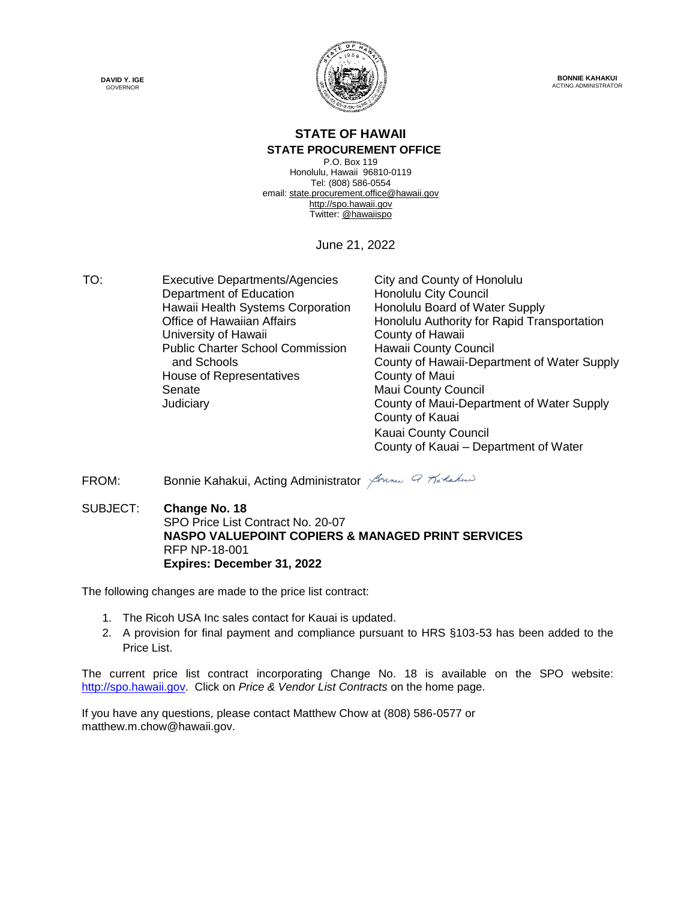



**BONNIE KAHAKUI** ACTING ADMINISTRATOR

### **STATE OF HAWAII**

#### **STATE PROCUREMENT OFFICE**

P.O. Box 119 Honolulu, Hawaii 96810-0119 Tel: (808) 586-0554 email[: state.procurement.office@hawaii.gov](mailto:state.procurement.office@hawaii.gov) [http://spo.hawaii.gov](http://spo.hawaii.gov/) Twitter: [@hawaiispo](https://twitter.com/hawaiispo)

June 21, 2022

TO: Executive Departments/Agencies City and County of Honolulu Department of Education Honolulu City Council Hawaii Health Systems Corporation Honolulu Board of Water Supply University of Hawaii **County of Hawaii** Public Charter School Commission and Schools House of Representatives **County of Maui** Senate Maui County Council

Office of Hawaiian Affairs **Honolulu Authority for Rapid Transportation** Hawaii County Council County of Hawaii-Department of Water Supply Judiciary County of Maui-Department of Water Supply County of Kauai Kauai County Council County of Kauai – Department of Water

FROM: Bonnie Kahakui, Acting Administrator Sonne 9 Tarlakus

SUBJECT: **Change No. 18** SPO Price List Contract No. 20-07 **NASPO VALUEPOINT COPIERS & MANAGED PRINT SERVICES** RFP NP-18-001 **Expires: December 31, 2022**

The following changes are made to the price list contract:

- 1. The Ricoh USA Inc sales contact for Kauai is updated.
- 2. A provision for final payment and compliance pursuant to HRS §103-53 has been added to the Price List.

The current price list contract incorporating Change No. 18 is available on the SPO website: [http://spo.hawaii.gov.](http://spo.hawaii.gov/) Click on *Price & Vendor List Contracts* on the home page.

If you have any questions, please contact Matthew Chow at (808) 586-0577 or matthew.m.chow@hawaii.gov.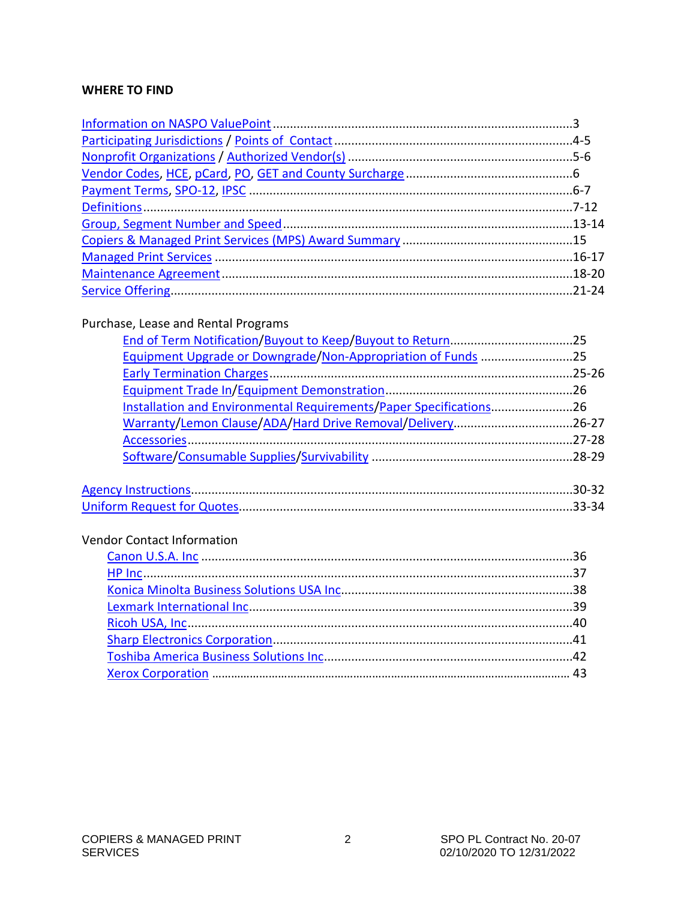#### **WHERE TO FIND**

#### Purchase, Lease and Rental Programs

| Equipment Upgrade or Downgrade/Non-Appropriation of Funds 25       |  |
|--------------------------------------------------------------------|--|
|                                                                    |  |
|                                                                    |  |
| Installation and Environmental Requirements/Paper Specifications26 |  |
| Warranty/Lemon Clause/ADA/Hard Drive Removal/Delivery26-27         |  |
|                                                                    |  |
|                                                                    |  |

### Vendor Contact Information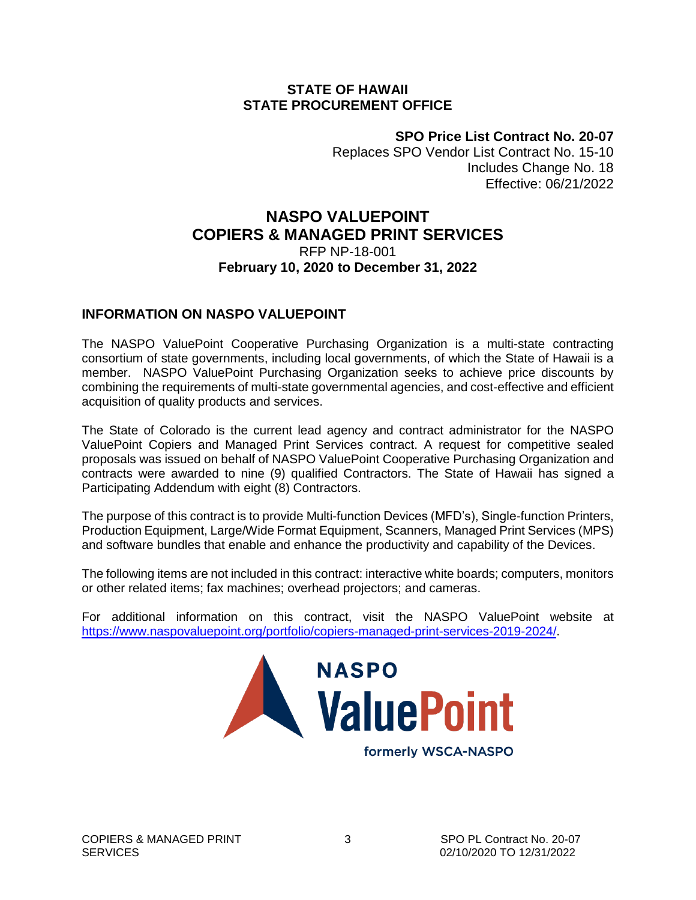#### <span id="page-2-0"></span>**STATE OF HAWAII STATE PROCUREMENT OFFICE**

**SPO Price List Contract No. 20-07**

Replaces SPO Vendor List Contract No. 15-10 Includes Change No. 18 Effective: 06/21/2022

### **NASPO VALUEPOINT COPIERS & MANAGED PRINT SERVICES**

#### RFP NP-18-001 **February 10, 2020 to December 31, 2022**

#### **INFORMATION ON NASPO VALUEPOINT**

The NASPO ValuePoint Cooperative Purchasing Organization is a multi-state contracting consortium of state governments, including local governments, of which the State of Hawaii is a member. NASPO ValuePoint Purchasing Organization seeks to achieve price discounts by combining the requirements of multi-state governmental agencies, and cost-effective and efficient acquisition of quality products and services.

The State of Colorado is the current lead agency and contract administrator for the NASPO ValuePoint Copiers and Managed Print Services contract. A request for competitive sealed proposals was issued on behalf of NASPO ValuePoint Cooperative Purchasing Organization and contracts were awarded to nine (9) qualified Contractors. The State of Hawaii has signed a Participating Addendum with eight (8) Contractors.

The purpose of this contract is to provide Multi-function Devices (MFD's), Single-function Printers, Production Equipment, Large/Wide Format Equipment, Scanners, Managed Print Services (MPS) and software bundles that enable and enhance the productivity and capability of the Devices.

The following items are not included in this contract: interactive white boards; computers, monitors or other related items; fax machines; overhead projectors; and cameras.

For additional information on this contract, visit the NASPO ValuePoint website at [https://www.naspovaluepoint.org/portfolio/copiers-managed-print-services-2019-2024/.](https://www.naspovaluepoint.org/portfolio/copiers-managed-print-services-2019-2024/)

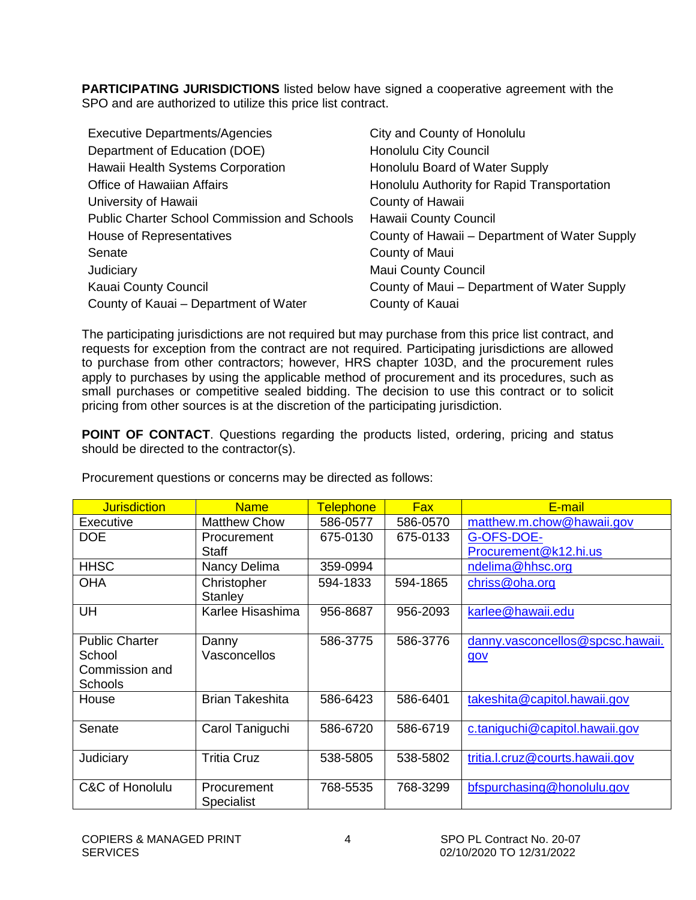<span id="page-3-0"></span>**PARTICIPATING JURISDICTIONS** listed below have signed a cooperative agreement with the SPO and are authorized to utilize this price list contract.

| <b>Executive Departments/Agencies</b>               | City and County of Honolulu                   |
|-----------------------------------------------------|-----------------------------------------------|
| Department of Education (DOE)                       | <b>Honolulu City Council</b>                  |
| Hawaii Health Systems Corporation                   | Honolulu Board of Water Supply                |
| <b>Office of Hawaiian Affairs</b>                   | Honolulu Authority for Rapid Transportation   |
| University of Hawaii                                | County of Hawaii                              |
| <b>Public Charter School Commission and Schools</b> | <b>Hawaii County Council</b>                  |
| House of Representatives                            | County of Hawaii – Department of Water Supply |
| Senate                                              | County of Maui                                |
| Judiciary                                           | <b>Maui County Council</b>                    |
| Kauai County Council                                | County of Maui - Department of Water Supply   |
| County of Kauai – Department of Water               | County of Kauai                               |

The participating jurisdictions are not required but may purchase from this price list contract, and requests for exception from the contract are not required. Participating jurisdictions are allowed to purchase from other contractors; however, HRS chapter 103D, and the procurement rules apply to purchases by using the applicable method of procurement and its procedures, such as small purchases or competitive sealed bidding. The decision to use this contract or to solicit pricing from other sources is at the discretion of the participating jurisdiction.

**POINT OF CONTACT**. Questions regarding the products listed, ordering, pricing and status should be directed to the contractor(s).

| <b>Jurisdiction</b>   | <b>Name</b>            | <b>Telephone</b> | <b>Fax</b> | E-mail                           |
|-----------------------|------------------------|------------------|------------|----------------------------------|
| <b>Executive</b>      | <b>Matthew Chow</b>    | 586-0577         | 586-0570   | matthew.m.chow@hawaii.gov        |
| <b>DOE</b>            | Procurement            | 675-0130         | 675-0133   | G-OFS-DOE-                       |
|                       | <b>Staff</b>           |                  |            | Procurement@k12.hi.us            |
| <b>HHSC</b>           | Nancy Delima           | 359-0994         |            | ndelima@hhsc.org                 |
| <b>OHA</b>            | Christopher            | 594-1833         | 594-1865   | chriss@oha.org                   |
|                       | Stanley                |                  |            |                                  |
| UH                    | Karlee Hisashima       | 956-8687         | 956-2093   | karlee@hawaii.edu                |
|                       |                        |                  |            |                                  |
| <b>Public Charter</b> | Danny                  | 586-3775         | 586-3776   | danny.vasconcellos@spcsc.hawaii. |
| School                | Vasconcellos           |                  |            | gov                              |
| Commission and        |                        |                  |            |                                  |
| <b>Schools</b>        |                        |                  |            |                                  |
| House                 | <b>Brian Takeshita</b> | 586-6423         | 586-6401   | takeshita@capitol.hawaii.gov     |
|                       |                        |                  |            |                                  |
| Senate                | Carol Taniguchi        | 586-6720         | 586-6719   | c.taniquchi@capitol.hawaii.gov   |
|                       |                        |                  |            |                                  |
| Judiciary             | <b>Tritia Cruz</b>     | 538-5805         | 538-5802   | tritia.l.cruz@courts.hawaii.gov  |
|                       |                        |                  |            |                                  |
| C&C of Honolulu       | Procurement            | 768-5535         | 768-3299   | bfspurchasing@honolulu.gov       |
|                       | Specialist             |                  |            |                                  |

Procurement questions or concerns may be directed as follows: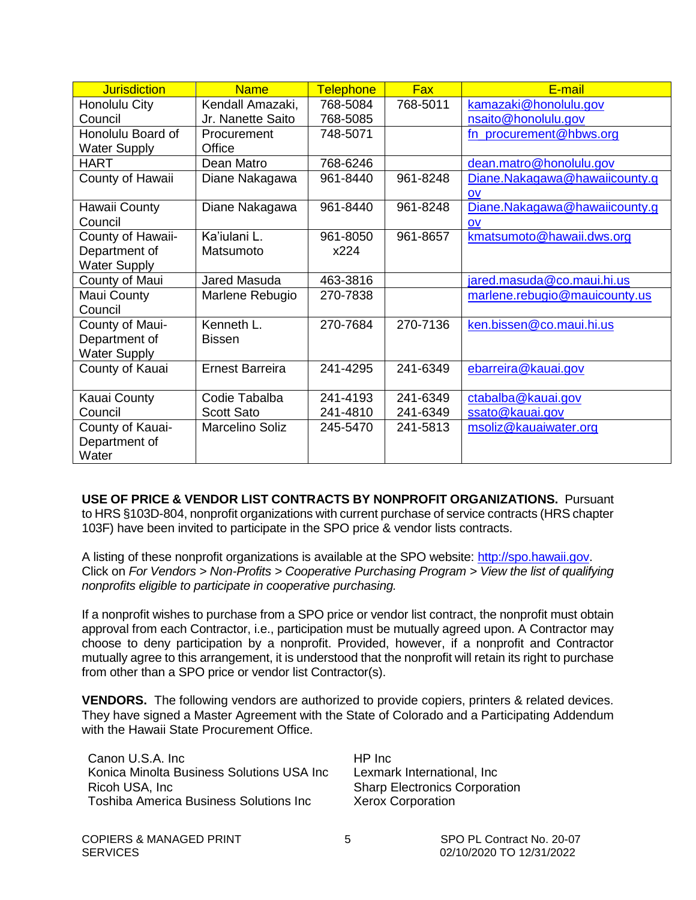<span id="page-4-0"></span>

| <b>Jurisdiction</b> | <b>Name</b>            | <b>Telephone</b> | <b>Fax</b> | E-mail                        |
|---------------------|------------------------|------------------|------------|-------------------------------|
| Honolulu City       | Kendall Amazaki,       | 768-5084         | 768-5011   | kamazaki@honolulu.gov         |
| Council             | Jr. Nanette Saito      | 768-5085         |            | nsaito@honolulu.gov           |
| Honolulu Board of   | Procurement            | 748-5071         |            | fn_procurement@hbws.org       |
| <b>Water Supply</b> | Office                 |                  |            |                               |
| <b>HART</b>         | Dean Matro             | 768-6246         |            | dean.matro@honolulu.gov       |
| County of Hawaii    | Diane Nakagawa         | 961-8440         | 961-8248   | Diane.Nakagawa@hawaiicounty.g |
|                     |                        |                  |            | <b>OV</b>                     |
| Hawaii County       | Diane Nakagawa         | 961-8440         | 961-8248   | Diane.Nakagawa@hawaiicounty.g |
| Council             |                        |                  |            | <b>OV</b>                     |
| County of Hawaii-   | Ka'iulani L.           | 961-8050         | 961-8657   | kmatsumoto@hawaii.dws.org     |
| Department of       | Matsumoto              | x224             |            |                               |
| <b>Water Supply</b> |                        |                  |            |                               |
| County of Maui      | Jared Masuda           | 463-3816         |            | jared.masuda@co.maui.hi.us    |
| Maui County         | Marlene Rebugio        | 270-7838         |            | marlene.rebugio@mauicounty.us |
| Council             |                        |                  |            |                               |
| County of Maui-     | Kenneth L.             | 270-7684         | 270-7136   | ken.bissen@co.maui.hi.us      |
| Department of       | <b>Bissen</b>          |                  |            |                               |
| <b>Water Supply</b> |                        |                  |            |                               |
| County of Kauai     | <b>Ernest Barreira</b> | 241-4295         | 241-6349   | ebarreira@kauai.gov           |
|                     |                        |                  |            |                               |
| Kauai County        | Codie Tabalba          | 241-4193         | 241-6349   | ctabalba@kauai.gov            |
| Council             | <b>Scott Sato</b>      | 241-4810         | 241-6349   | ssato@kauai.gov               |
| County of Kauai-    | Marcelino Soliz        | 245-5470         | 241-5813   | msoliz@kauaiwater.org         |
| Department of       |                        |                  |            |                               |
| Water               |                        |                  |            |                               |

**USE OF PRICE & VENDOR LIST CONTRACTS BY NONPROFIT ORGANIZATIONS.** Pursuant to HRS §103D-804, nonprofit organizations with current purchase of service contracts (HRS chapter 103F) have been invited to participate in the SPO price & vendor lists contracts.

A listing of these nonprofit organizations is available at the SPO website: [http://spo.hawaii.gov.](http://spo.hawaii.gov/) Click on *For Vendors > Non-Profits > Cooperative Purchasing Program > View the list of qualifying nonprofits eligible to participate in cooperative purchasing.*

If a nonprofit wishes to purchase from a SPO price or vendor list contract, the nonprofit must obtain approval from each Contractor, i.e., participation must be mutually agreed upon. A Contractor may choose to deny participation by a nonprofit. Provided, however, if a nonprofit and Contractor mutually agree to this arrangement, it is understood that the nonprofit will retain its right to purchase from other than a SPO price or vendor list Contractor(s).

**VENDORS.** The following vendors are authorized to provide copiers, printers & related devices. They have signed a Master Agreement with the State of Colorado and a Participating Addendum with the Hawaii State Procurement Office.

Canon U.S.A. Inc HP Inc Konica Minolta Business Solutions USA Inc Lexmark International, Inc Ricoh USA, Inc Sharp Electronics Corporation Toshiba America Business Solutions Inc Xerox Corporation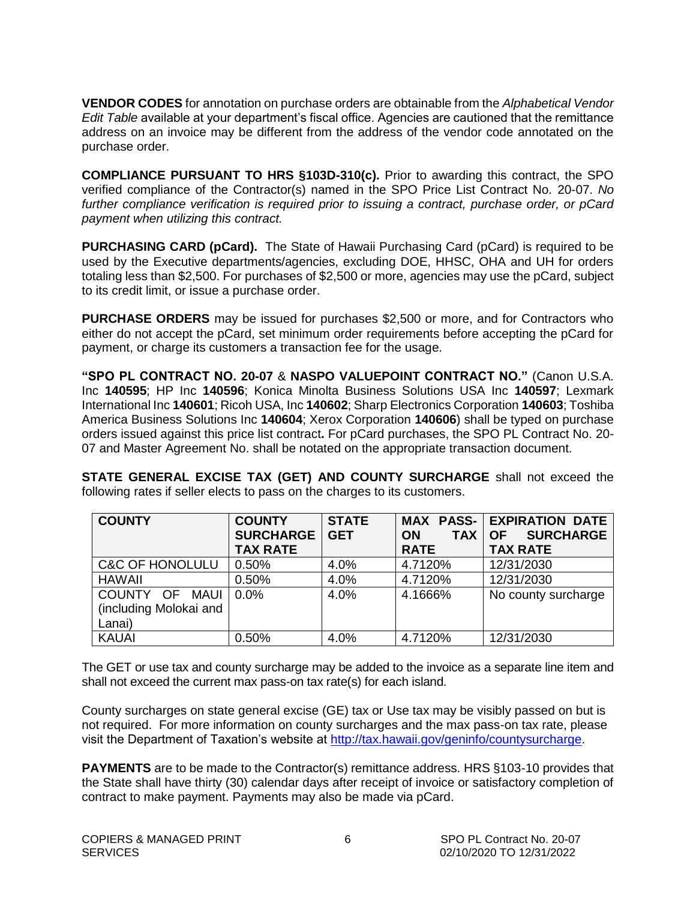<span id="page-5-0"></span>**VENDOR CODES** for annotation on purchase orders are obtainable from the *Alphabetical Vendor Edit Table* available at your department's fiscal office. Agencies are cautioned that the remittance address on an invoice may be different from the address of the vendor code annotated on the purchase order.

**COMPLIANCE PURSUANT TO HRS §103D-310(c).** Prior to awarding this contract, the SPO verified compliance of the Contractor(s) named in the SPO Price List Contract No. 20-07. *No further compliance verification is required prior to issuing a contract, purchase order, or pCard payment when utilizing this contract.*

**PURCHASING CARD (pCard).** The State of Hawaii Purchasing Card (pCard) is required to be used by the Executive departments/agencies, excluding DOE, HHSC, OHA and UH for orders totaling less than \$2,500. For purchases of \$2,500 or more, agencies may use the pCard, subject to its credit limit, or issue a purchase order.

**PURCHASE ORDERS** may be issued for purchases \$2,500 or more, and for Contractors who either do not accept the pCard, set minimum order requirements before accepting the pCard for payment, or charge its customers a transaction fee for the usage.

**"SPO PL CONTRACT NO. 20-07** & **NASPO VALUEPOINT CONTRACT NO."** (Canon U.S.A. Inc **140595**; HP Inc **140596**; Konica Minolta Business Solutions USA Inc **140597**; Lexmark International Inc **140601**; Ricoh USA, Inc **140602**; Sharp Electronics Corporation **140603**; Toshiba America Business Solutions Inc **140604**; Xerox Corporation **140606**) shall be typed on purchase orders issued against this price list contract**.** For pCard purchases, the SPO PL Contract No. 20- 07 and Master Agreement No. shall be notated on the appropriate transaction document.

**STATE GENERAL EXCISE TAX (GET) AND COUNTY SURCHARGE** shall not exceed the following rates if seller elects to pass on the charges to its customers.

| <b>COUNTY</b>              | <b>COUNTY</b><br><b>SURCHARGE</b> | <b>STATE</b><br><b>GET</b> | <b>TAX</b><br><b>ON</b> | <b>MAX PASS- EXPIRATION DATE</b><br><b>SURCHARGE</b><br><b>OF</b> |
|----------------------------|-----------------------------------|----------------------------|-------------------------|-------------------------------------------------------------------|
|                            | <b>TAX RATE</b>                   |                            | <b>RATE</b>             | <b>TAX RATE</b>                                                   |
| <b>C&amp;C OF HONOLULU</b> | 0.50%                             | 4.0%                       | 4.7120%                 | 12/31/2030                                                        |
| <b>HAWAII</b>              | 0.50%                             | 4.0%                       | 4.7120%                 | 12/31/2030                                                        |
| COUNTY OF<br>MAUI          | 0.0%                              | 4.0%                       | 4.1666%                 | No county surcharge                                               |
| (including Molokai and     |                                   |                            |                         |                                                                   |
| Lanai)                     |                                   |                            |                         |                                                                   |
| <b>KAUAI</b>               | 0.50%                             | 4.0%                       | 4.7120%                 | 12/31/2030                                                        |

The GET or use tax and county surcharge may be added to the invoice as a separate line item and shall not exceed the current max pass-on tax rate(s) for each island.

County surcharges on state general excise (GE) tax or Use tax may be visibly passed on but is not required. For more information on county surcharges and the max pass-on tax rate, please visit the Department of Taxation's website at [http://tax.hawaii.gov/geninfo/countysurcharge.](http://tax.hawaii.gov/geninfo/countysurcharge)

**PAYMENTS** are to be made to the Contractor(s) remittance address. HRS §103-10 provides that the State shall have thirty (30) calendar days after receipt of invoice or satisfactory completion of contract to make payment. Payments may also be made via pCard.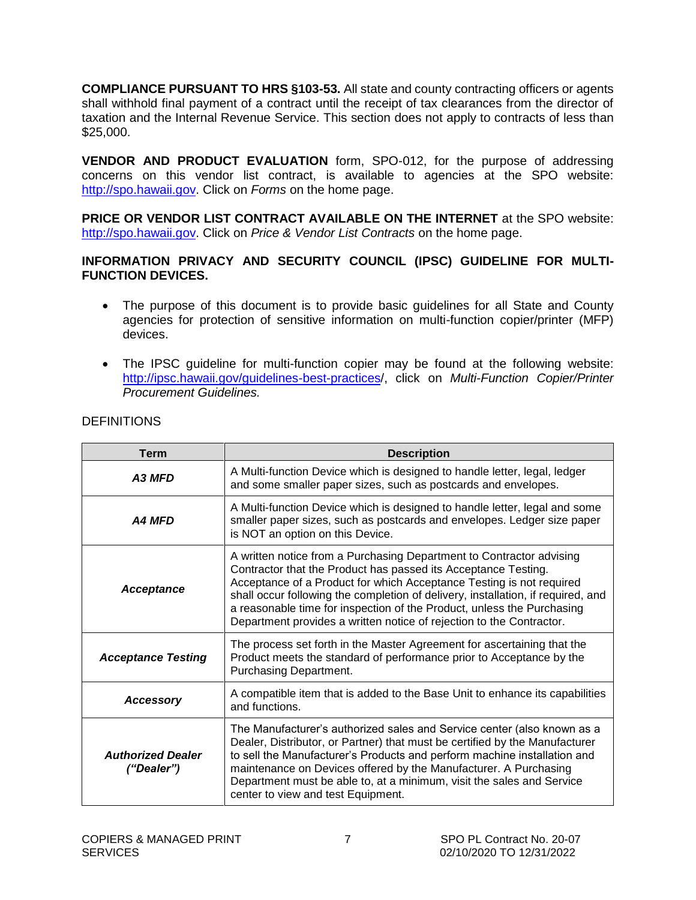<span id="page-6-0"></span>**COMPLIANCE PURSUANT TO HRS §103-53.** All state and county contracting officers or agents shall withhold final payment of a contract until the receipt of tax clearances from the director of taxation and the Internal Revenue Service. This section does not apply to contracts of less than \$25,000.

**VENDOR AND PRODUCT EVALUATION** form, SPO-012, for the purpose of addressing concerns on this vendor list contract, is available to agencies at the SPO website: [http://spo.hawaii.gov.](http://spo.hawaii.gov/) Click on *Forms* on the home page.

**PRICE OR VENDOR LIST CONTRACT AVAILABLE ON THE INTERNET** at the SPO website: [http://spo.hawaii.gov.](http://spo.hawaii.gov/) Click on *Price & Vendor List Contracts* on the home page.

#### **INFORMATION PRIVACY AND SECURITY COUNCIL (IPSC) GUIDELINE FOR MULTI-FUNCTION DEVICES.**

- The purpose of this document is to provide basic guidelines for all State and County agencies for protection of sensitive information on multi-function copier/printer (MFP) devices.
- The IPSC guideline for multi-function copier may be found at the following website: [http://ipsc.hawaii.gov/guidelines-best-practices/](http://ipsc.hawaii.gov/guidelines-best-practices), click on *Multi-Function Copier/Printer Procurement Guidelines.*

| <b>Term</b>                            | <b>Description</b>                                                                                                                                                                                                                                                                                                                                                                                                                                   |
|----------------------------------------|------------------------------------------------------------------------------------------------------------------------------------------------------------------------------------------------------------------------------------------------------------------------------------------------------------------------------------------------------------------------------------------------------------------------------------------------------|
| A3 MFD                                 | A Multi-function Device which is designed to handle letter, legal, ledger<br>and some smaller paper sizes, such as postcards and envelopes.                                                                                                                                                                                                                                                                                                          |
| <b>A4 MFD</b>                          | A Multi-function Device which is designed to handle letter, legal and some<br>smaller paper sizes, such as postcards and envelopes. Ledger size paper<br>is NOT an option on this Device.                                                                                                                                                                                                                                                            |
| <b>Acceptance</b>                      | A written notice from a Purchasing Department to Contractor advising<br>Contractor that the Product has passed its Acceptance Testing.<br>Acceptance of a Product for which Acceptance Testing is not required<br>shall occur following the completion of delivery, installation, if required, and<br>a reasonable time for inspection of the Product, unless the Purchasing<br>Department provides a written notice of rejection to the Contractor. |
| <b>Acceptance Testing</b>              | The process set forth in the Master Agreement for ascertaining that the<br>Product meets the standard of performance prior to Acceptance by the<br>Purchasing Department.                                                                                                                                                                                                                                                                            |
| Accessory                              | A compatible item that is added to the Base Unit to enhance its capabilities<br>and functions.                                                                                                                                                                                                                                                                                                                                                       |
| <b>Authorized Dealer</b><br>("Dealer") | The Manufacturer's authorized sales and Service center (also known as a<br>Dealer, Distributor, or Partner) that must be certified by the Manufacturer<br>to sell the Manufacturer's Products and perform machine installation and<br>maintenance on Devices offered by the Manufacturer. A Purchasing<br>Department must be able to, at a minimum, visit the sales and Service<br>center to view and test Equipment.                                |

#### **DEFINITIONS**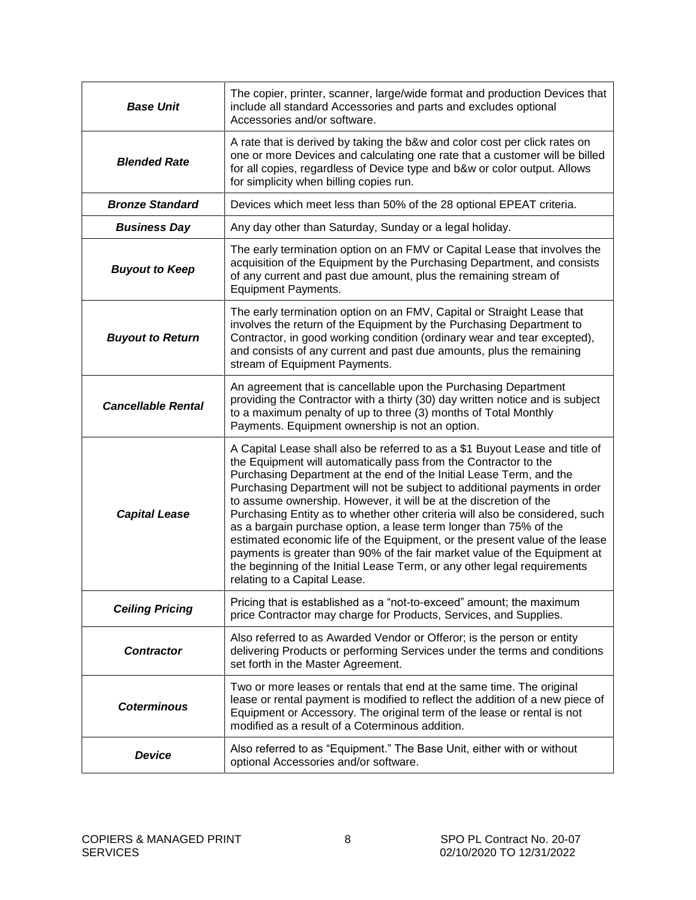| <b>Base Unit</b>          | The copier, printer, scanner, large/wide format and production Devices that<br>include all standard Accessories and parts and excludes optional<br>Accessories and/or software.                                                                                                                                                                                                                                                                                                                                                                                                                                                                                                                                                                                                                        |
|---------------------------|--------------------------------------------------------------------------------------------------------------------------------------------------------------------------------------------------------------------------------------------------------------------------------------------------------------------------------------------------------------------------------------------------------------------------------------------------------------------------------------------------------------------------------------------------------------------------------------------------------------------------------------------------------------------------------------------------------------------------------------------------------------------------------------------------------|
| <b>Blended Rate</b>       | A rate that is derived by taking the b&w and color cost per click rates on<br>one or more Devices and calculating one rate that a customer will be billed<br>for all copies, regardless of Device type and b&w or color output. Allows<br>for simplicity when billing copies run.                                                                                                                                                                                                                                                                                                                                                                                                                                                                                                                      |
| <b>Bronze Standard</b>    | Devices which meet less than 50% of the 28 optional EPEAT criteria.                                                                                                                                                                                                                                                                                                                                                                                                                                                                                                                                                                                                                                                                                                                                    |
| <b>Business Day</b>       | Any day other than Saturday, Sunday or a legal holiday.                                                                                                                                                                                                                                                                                                                                                                                                                                                                                                                                                                                                                                                                                                                                                |
| <b>Buyout to Keep</b>     | The early termination option on an FMV or Capital Lease that involves the<br>acquisition of the Equipment by the Purchasing Department, and consists<br>of any current and past due amount, plus the remaining stream of<br><b>Equipment Payments.</b>                                                                                                                                                                                                                                                                                                                                                                                                                                                                                                                                                 |
| <b>Buyout to Return</b>   | The early termination option on an FMV, Capital or Straight Lease that<br>involves the return of the Equipment by the Purchasing Department to<br>Contractor, in good working condition (ordinary wear and tear excepted),<br>and consists of any current and past due amounts, plus the remaining<br>stream of Equipment Payments.                                                                                                                                                                                                                                                                                                                                                                                                                                                                    |
| <b>Cancellable Rental</b> | An agreement that is cancellable upon the Purchasing Department<br>providing the Contractor with a thirty (30) day written notice and is subject<br>to a maximum penalty of up to three (3) months of Total Monthly<br>Payments. Equipment ownership is not an option.                                                                                                                                                                                                                                                                                                                                                                                                                                                                                                                                 |
| <b>Capital Lease</b>      | A Capital Lease shall also be referred to as a \$1 Buyout Lease and title of<br>the Equipment will automatically pass from the Contractor to the<br>Purchasing Department at the end of the Initial Lease Term, and the<br>Purchasing Department will not be subject to additional payments in order<br>to assume ownership. However, it will be at the discretion of the<br>Purchasing Entity as to whether other criteria will also be considered, such<br>as a bargain purchase option, a lease term longer than 75% of the<br>estimated economic life of the Equipment, or the present value of the lease<br>payments is greater than 90% of the fair market value of the Equipment at<br>the beginning of the Initial Lease Term, or any other legal requirements<br>relating to a Capital Lease. |
| <b>Ceiling Pricing</b>    | Pricing that is established as a "not-to-exceed" amount; the maximum<br>price Contractor may charge for Products, Services, and Supplies.                                                                                                                                                                                                                                                                                                                                                                                                                                                                                                                                                                                                                                                              |
| <b>Contractor</b>         | Also referred to as Awarded Vendor or Offeror; is the person or entity<br>delivering Products or performing Services under the terms and conditions<br>set forth in the Master Agreement.                                                                                                                                                                                                                                                                                                                                                                                                                                                                                                                                                                                                              |
| <b>Coterminous</b>        | Two or more leases or rentals that end at the same time. The original<br>lease or rental payment is modified to reflect the addition of a new piece of<br>Equipment or Accessory. The original term of the lease or rental is not<br>modified as a result of a Coterminous addition.                                                                                                                                                                                                                                                                                                                                                                                                                                                                                                                   |
| <b>Device</b>             | Also referred to as "Equipment." The Base Unit, either with or without<br>optional Accessories and/or software.                                                                                                                                                                                                                                                                                                                                                                                                                                                                                                                                                                                                                                                                                        |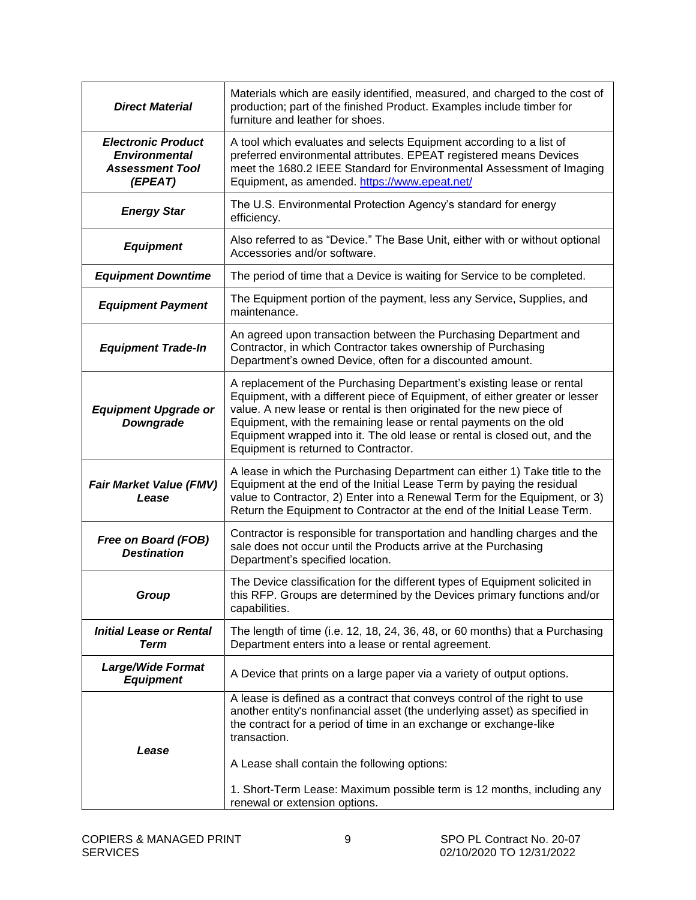| <b>Direct Material</b>                                                                 | Materials which are easily identified, measured, and charged to the cost of<br>production; part of the finished Product. Examples include timber for<br>furniture and leather for shoes.                                                                                                                                                                                                                               |
|----------------------------------------------------------------------------------------|------------------------------------------------------------------------------------------------------------------------------------------------------------------------------------------------------------------------------------------------------------------------------------------------------------------------------------------------------------------------------------------------------------------------|
| <b>Electronic Product</b><br><b>Environmental</b><br><b>Assessment Tool</b><br>(EPEAT) | A tool which evaluates and selects Equipment according to a list of<br>preferred environmental attributes. EPEAT registered means Devices<br>meet the 1680.2 IEEE Standard for Environmental Assessment of Imaging<br>Equipment, as amended. https://www.epeat.net/                                                                                                                                                    |
| <b>Energy Star</b>                                                                     | The U.S. Environmental Protection Agency's standard for energy<br>efficiency.                                                                                                                                                                                                                                                                                                                                          |
| <b>Equipment</b>                                                                       | Also referred to as "Device." The Base Unit, either with or without optional<br>Accessories and/or software.                                                                                                                                                                                                                                                                                                           |
| <b>Equipment Downtime</b>                                                              | The period of time that a Device is waiting for Service to be completed.                                                                                                                                                                                                                                                                                                                                               |
| <b>Equipment Payment</b>                                                               | The Equipment portion of the payment, less any Service, Supplies, and<br>maintenance.                                                                                                                                                                                                                                                                                                                                  |
| <b>Equipment Trade-In</b>                                                              | An agreed upon transaction between the Purchasing Department and<br>Contractor, in which Contractor takes ownership of Purchasing<br>Department's owned Device, often for a discounted amount.                                                                                                                                                                                                                         |
| <b>Equipment Upgrade or</b><br>Downgrade                                               | A replacement of the Purchasing Department's existing lease or rental<br>Equipment, with a different piece of Equipment, of either greater or lesser<br>value. A new lease or rental is then originated for the new piece of<br>Equipment, with the remaining lease or rental payments on the old<br>Equipment wrapped into it. The old lease or rental is closed out, and the<br>Equipment is returned to Contractor. |
| <b>Fair Market Value (FMV)</b><br>Lease                                                | A lease in which the Purchasing Department can either 1) Take title to the<br>Equipment at the end of the Initial Lease Term by paying the residual<br>value to Contractor, 2) Enter into a Renewal Term for the Equipment, or 3)<br>Return the Equipment to Contractor at the end of the Initial Lease Term.                                                                                                          |
| Free on Board (FOB)<br><b>Destination</b>                                              | Contractor is responsible for transportation and handling charges and the<br>sale does not occur until the Products arrive at the Purchasing<br>Department's specified location.                                                                                                                                                                                                                                       |
| Group                                                                                  | The Device classification for the different types of Equipment solicited in<br>this RFP. Groups are determined by the Devices primary functions and/or<br>capabilities.                                                                                                                                                                                                                                                |
| <b>Initial Lease or Rental</b><br><b>Term</b>                                          | The length of time (i.e. 12, 18, 24, 36, 48, or 60 months) that a Purchasing<br>Department enters into a lease or rental agreement.                                                                                                                                                                                                                                                                                    |
| <b>Large/Wide Format</b><br><b>Equipment</b>                                           | A Device that prints on a large paper via a variety of output options.                                                                                                                                                                                                                                                                                                                                                 |
| Lease                                                                                  | A lease is defined as a contract that conveys control of the right to use<br>another entity's nonfinancial asset (the underlying asset) as specified in<br>the contract for a period of time in an exchange or exchange-like<br>transaction.<br>A Lease shall contain the following options:                                                                                                                           |
|                                                                                        | 1. Short-Term Lease: Maximum possible term is 12 months, including any<br>renewal or extension options.                                                                                                                                                                                                                                                                                                                |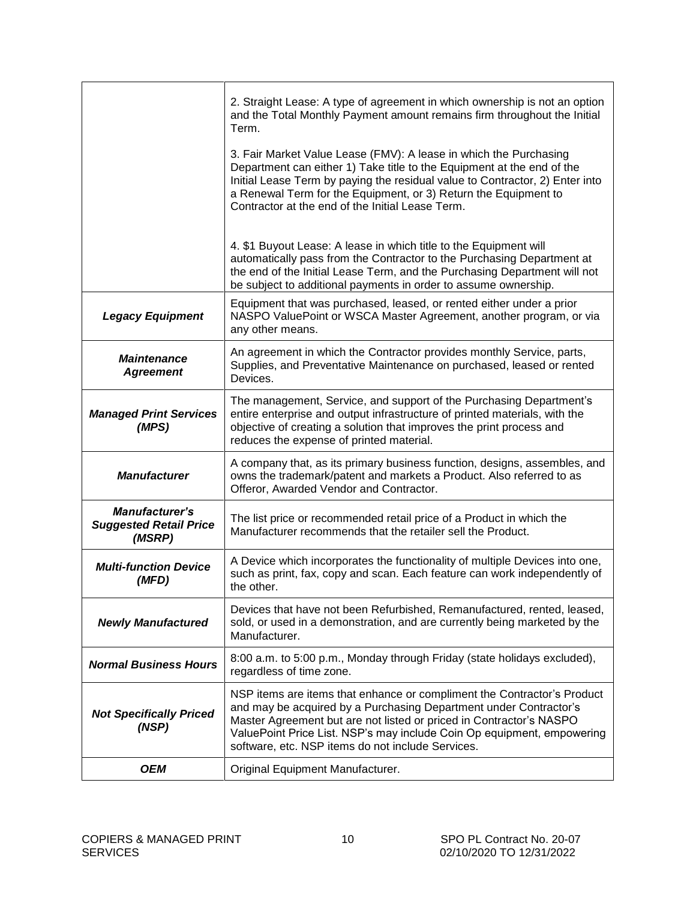|                                                                  | 2. Straight Lease: A type of agreement in which ownership is not an option<br>and the Total Monthly Payment amount remains firm throughout the Initial<br>Term.                                                                                                                                                                                    |
|------------------------------------------------------------------|----------------------------------------------------------------------------------------------------------------------------------------------------------------------------------------------------------------------------------------------------------------------------------------------------------------------------------------------------|
|                                                                  | 3. Fair Market Value Lease (FMV): A lease in which the Purchasing<br>Department can either 1) Take title to the Equipment at the end of the<br>Initial Lease Term by paying the residual value to Contractor, 2) Enter into<br>a Renewal Term for the Equipment, or 3) Return the Equipment to<br>Contractor at the end of the Initial Lease Term. |
|                                                                  | 4. \$1 Buyout Lease: A lease in which title to the Equipment will<br>automatically pass from the Contractor to the Purchasing Department at<br>the end of the Initial Lease Term, and the Purchasing Department will not<br>be subject to additional payments in order to assume ownership.                                                        |
| <b>Legacy Equipment</b>                                          | Equipment that was purchased, leased, or rented either under a prior<br>NASPO ValuePoint or WSCA Master Agreement, another program, or via<br>any other means.                                                                                                                                                                                     |
| <b>Maintenance</b><br><b>Agreement</b>                           | An agreement in which the Contractor provides monthly Service, parts,<br>Supplies, and Preventative Maintenance on purchased, leased or rented<br>Devices.                                                                                                                                                                                         |
| <b>Managed Print Services</b><br>(MPS)                           | The management, Service, and support of the Purchasing Department's<br>entire enterprise and output infrastructure of printed materials, with the<br>objective of creating a solution that improves the print process and<br>reduces the expense of printed material.                                                                              |
| <b>Manufacturer</b>                                              | A company that, as its primary business function, designs, assembles, and<br>owns the trademark/patent and markets a Product. Also referred to as<br>Offeror, Awarded Vendor and Contractor.                                                                                                                                                       |
| <b>Manufacturer's</b><br><b>Suggested Retail Price</b><br>(MSRP) | The list price or recommended retail price of a Product in which the<br>Manufacturer recommends that the retailer sell the Product.                                                                                                                                                                                                                |
| <b>Multi-function Device</b><br>(MFD)                            | A Device which incorporates the functionality of multiple Devices into one,<br>such as print, fax, copy and scan. Each feature can work independently of<br>the other.                                                                                                                                                                             |
| <b>Newly Manufactured</b>                                        | Devices that have not been Refurbished, Remanufactured, rented, leased,<br>sold, or used in a demonstration, and are currently being marketed by the<br>Manufacturer.                                                                                                                                                                              |
| <b>Normal Business Hours</b>                                     | 8:00 a.m. to 5:00 p.m., Monday through Friday (state holidays excluded),<br>regardless of time zone.                                                                                                                                                                                                                                               |
| <b>Not Specifically Priced</b><br>(NSP)                          | NSP items are items that enhance or compliment the Contractor's Product<br>and may be acquired by a Purchasing Department under Contractor's<br>Master Agreement but are not listed or priced in Contractor's NASPO<br>ValuePoint Price List. NSP's may include Coin Op equipment, empowering<br>software, etc. NSP items do not include Services. |
| <b>OEM</b>                                                       | Original Equipment Manufacturer.                                                                                                                                                                                                                                                                                                                   |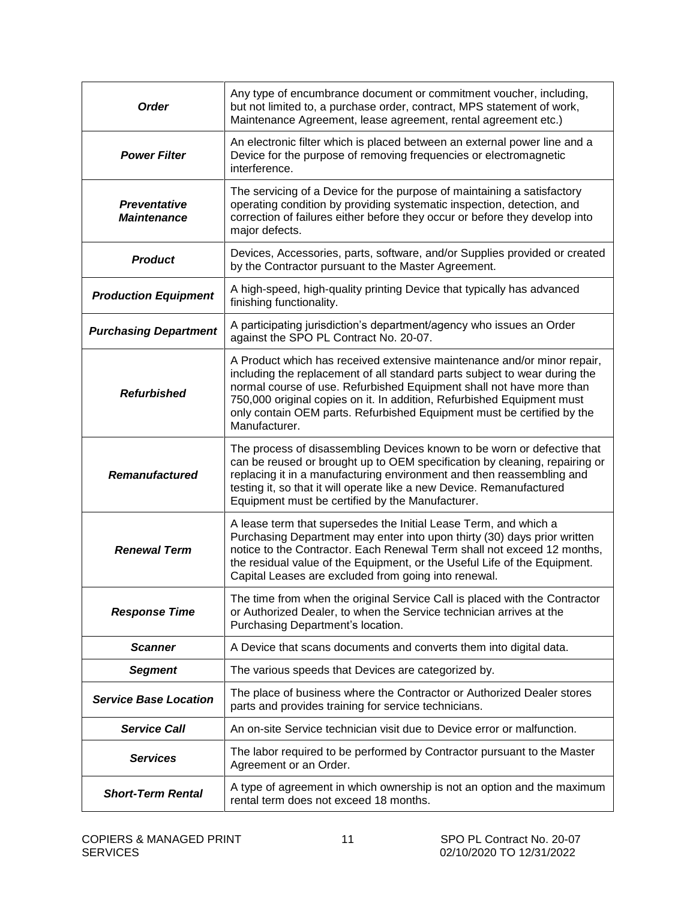| <b>Order</b>                                                                                                                                                                                                                                                                                                                                                                         | Any type of encumbrance document or commitment voucher, including,<br>but not limited to, a purchase order, contract, MPS statement of work,<br>Maintenance Agreement, lease agreement, rental agreement etc.)                                                                                                                                                                                     |  |
|--------------------------------------------------------------------------------------------------------------------------------------------------------------------------------------------------------------------------------------------------------------------------------------------------------------------------------------------------------------------------------------|----------------------------------------------------------------------------------------------------------------------------------------------------------------------------------------------------------------------------------------------------------------------------------------------------------------------------------------------------------------------------------------------------|--|
| <b>Power Filter</b>                                                                                                                                                                                                                                                                                                                                                                  | An electronic filter which is placed between an external power line and a<br>Device for the purpose of removing frequencies or electromagnetic<br>interference.                                                                                                                                                                                                                                    |  |
| <b>Preventative</b><br><b>Maintenance</b>                                                                                                                                                                                                                                                                                                                                            | The servicing of a Device for the purpose of maintaining a satisfactory<br>operating condition by providing systematic inspection, detection, and<br>correction of failures either before they occur or before they develop into<br>major defects.                                                                                                                                                 |  |
| <b>Product</b>                                                                                                                                                                                                                                                                                                                                                                       | Devices, Accessories, parts, software, and/or Supplies provided or created<br>by the Contractor pursuant to the Master Agreement.                                                                                                                                                                                                                                                                  |  |
| <b>Production Equipment</b>                                                                                                                                                                                                                                                                                                                                                          | A high-speed, high-quality printing Device that typically has advanced<br>finishing functionality.                                                                                                                                                                                                                                                                                                 |  |
| <b>Purchasing Department</b>                                                                                                                                                                                                                                                                                                                                                         | A participating jurisdiction's department/agency who issues an Order<br>against the SPO PL Contract No. 20-07.                                                                                                                                                                                                                                                                                     |  |
| <b>Refurbished</b>                                                                                                                                                                                                                                                                                                                                                                   | A Product which has received extensive maintenance and/or minor repair,<br>including the replacement of all standard parts subject to wear during the<br>normal course of use. Refurbished Equipment shall not have more than<br>750,000 original copies on it. In addition, Refurbished Equipment must<br>only contain OEM parts. Refurbished Equipment must be certified by the<br>Manufacturer. |  |
| The process of disassembling Devices known to be worn or defective that<br>can be reused or brought up to OEM specification by cleaning, repairing or<br>replacing it in a manufacturing environment and then reassembling and<br><b>Remanufactured</b><br>testing it, so that it will operate like a new Device. Remanufactured<br>Equipment must be certified by the Manufacturer. |                                                                                                                                                                                                                                                                                                                                                                                                    |  |
| <b>Renewal Term</b>                                                                                                                                                                                                                                                                                                                                                                  | A lease term that supersedes the Initial Lease Term, and which a<br>Purchasing Department may enter into upon thirty (30) days prior written<br>notice to the Contractor. Each Renewal Term shall not exceed 12 months,<br>the residual value of the Equipment, or the Useful Life of the Equipment.<br>Capital Leases are excluded from going into renewal.                                       |  |
| <b>Response Time</b>                                                                                                                                                                                                                                                                                                                                                                 | The time from when the original Service Call is placed with the Contractor<br>or Authorized Dealer, to when the Service technician arrives at the<br>Purchasing Department's location.                                                                                                                                                                                                             |  |
| <b>Scanner</b>                                                                                                                                                                                                                                                                                                                                                                       | A Device that scans documents and converts them into digital data.                                                                                                                                                                                                                                                                                                                                 |  |
| <b>Segment</b>                                                                                                                                                                                                                                                                                                                                                                       | The various speeds that Devices are categorized by.                                                                                                                                                                                                                                                                                                                                                |  |
| <b>Service Base Location</b>                                                                                                                                                                                                                                                                                                                                                         | The place of business where the Contractor or Authorized Dealer stores<br>parts and provides training for service technicians.                                                                                                                                                                                                                                                                     |  |
| <b>Service Call</b>                                                                                                                                                                                                                                                                                                                                                                  | An on-site Service technician visit due to Device error or malfunction.                                                                                                                                                                                                                                                                                                                            |  |
| <b>Services</b>                                                                                                                                                                                                                                                                                                                                                                      | The labor required to be performed by Contractor pursuant to the Master<br>Agreement or an Order.                                                                                                                                                                                                                                                                                                  |  |
| <b>Short-Term Rental</b>                                                                                                                                                                                                                                                                                                                                                             | A type of agreement in which ownership is not an option and the maximum<br>rental term does not exceed 18 months.                                                                                                                                                                                                                                                                                  |  |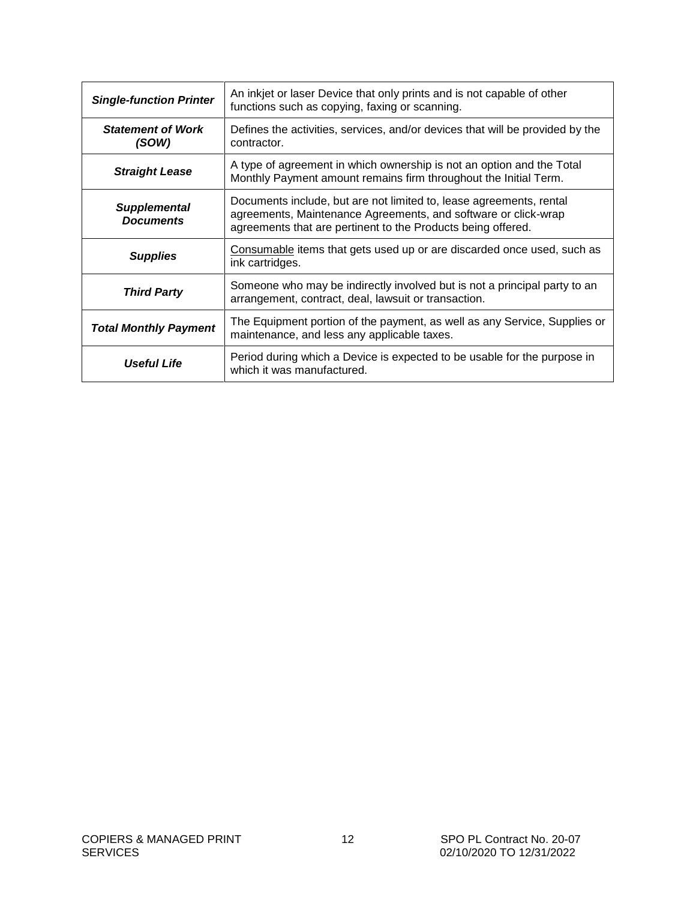| <b>Single-function Printer</b>                                                                               | An inkjet or laser Device that only prints and is not capable of other<br>functions such as copying, faxing or scanning.                                                                              |  |
|--------------------------------------------------------------------------------------------------------------|-------------------------------------------------------------------------------------------------------------------------------------------------------------------------------------------------------|--|
| <b>Statement of Work</b><br>(SOW)                                                                            | Defines the activities, services, and/or devices that will be provided by the<br>contractor.                                                                                                          |  |
| <b>Straight Lease</b>                                                                                        | A type of agreement in which ownership is not an option and the Total<br>Monthly Payment amount remains firm throughout the Initial Term.                                                             |  |
| <b>Supplemental</b><br><b>Documents</b>                                                                      | Documents include, but are not limited to, lease agreements, rental<br>agreements, Maintenance Agreements, and software or click-wrap<br>agreements that are pertinent to the Products being offered. |  |
| Consumable items that gets used up or are discarded once used, such as<br><b>Supplies</b><br>ink cartridges. |                                                                                                                                                                                                       |  |
| <b>Third Party</b>                                                                                           | Someone who may be indirectly involved but is not a principal party to an<br>arrangement, contract, deal, lawsuit or transaction.                                                                     |  |
| <b>Total Monthly Payment</b>                                                                                 | The Equipment portion of the payment, as well as any Service, Supplies or<br>maintenance, and less any applicable taxes.                                                                              |  |
| Useful Life                                                                                                  | Period during which a Device is expected to be usable for the purpose in<br>which it was manufactured.                                                                                                |  |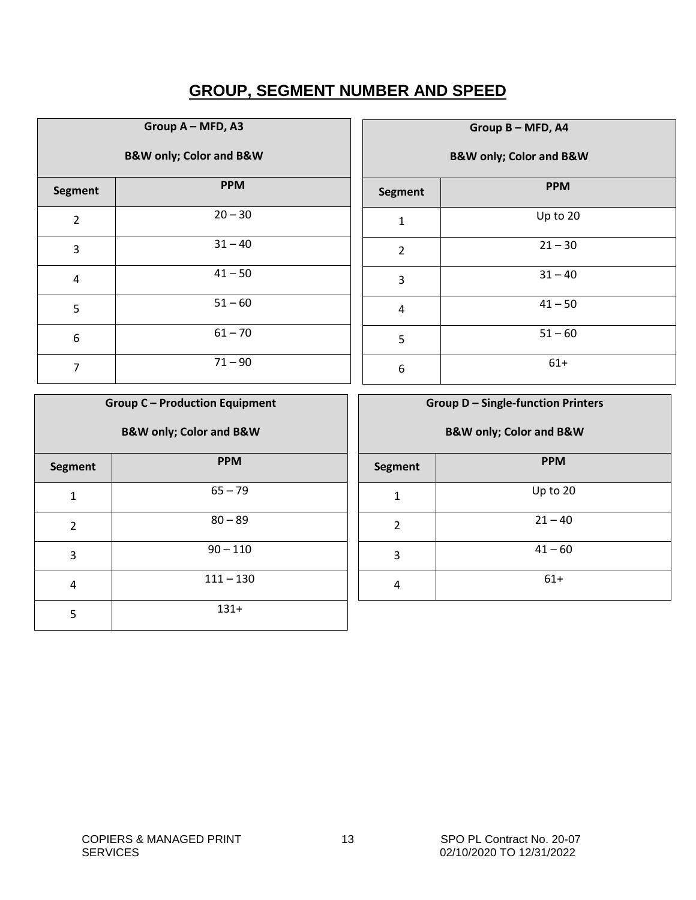### **GROUP, SEGMENT NUMBER AND SPEED**

<span id="page-12-0"></span>

| Group A - MFD, A3                      |            |  |  |  |
|----------------------------------------|------------|--|--|--|
| <b>B&amp;W only; Color and B&amp;W</b> |            |  |  |  |
| <b>Segment</b>                         | <b>PPM</b> |  |  |  |
| $\overline{2}$                         | $20 - 30$  |  |  |  |
| 3                                      | $31 - 40$  |  |  |  |
| 4                                      | $41 - 50$  |  |  |  |
| 5                                      | $51 - 60$  |  |  |  |
| 6                                      | $61 - 70$  |  |  |  |
| 7                                      | $71 - 90$  |  |  |  |

| Group B - MFD, A4 |                                        |  |  |  |  |
|-------------------|----------------------------------------|--|--|--|--|
|                   | <b>B&amp;W only; Color and B&amp;W</b> |  |  |  |  |
| <b>Segment</b>    | <b>PPM</b>                             |  |  |  |  |
| $\mathbf{1}$      | Up to 20                               |  |  |  |  |
| $\overline{2}$    | $21 - 30$                              |  |  |  |  |
| 3                 | $31 - 40$                              |  |  |  |  |
| 4                 | $41 - 50$                              |  |  |  |  |
| 5                 | $51 - 60$                              |  |  |  |  |
| 6                 | $61+$                                  |  |  |  |  |

| <b>Group C - Production Equipment</b>  |             |  |  |  |
|----------------------------------------|-------------|--|--|--|
| <b>B&amp;W only; Color and B&amp;W</b> |             |  |  |  |
| <b>Segment</b>                         | <b>PPM</b>  |  |  |  |
| 1                                      | $65 - 79$   |  |  |  |
| 2                                      | $80 - 89$   |  |  |  |
| 3                                      | $90 - 110$  |  |  |  |
| 4                                      | $111 - 130$ |  |  |  |
| 5                                      | $131+$      |  |  |  |

| <b>Group D - Single-function Printers</b> |                                        |  |  |  |  |
|-------------------------------------------|----------------------------------------|--|--|--|--|
|                                           |                                        |  |  |  |  |
|                                           | <b>B&amp;W only; Color and B&amp;W</b> |  |  |  |  |
| <b>Segment</b>                            | <b>PPM</b>                             |  |  |  |  |
| 1                                         | Up to 20                               |  |  |  |  |
| 2                                         | $21 - 40$                              |  |  |  |  |
| 3                                         | $41 - 60$                              |  |  |  |  |
| 4                                         | $61+$                                  |  |  |  |  |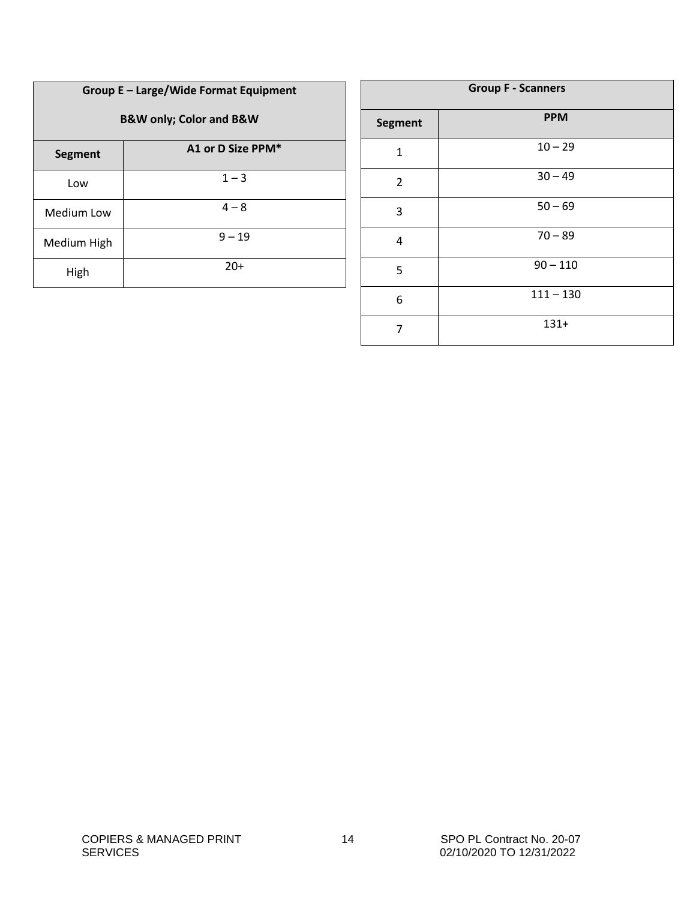| Group E - Large/Wide Format Equipment<br><b>B&amp;W only; Color and B&amp;W</b> |                   |  |  |
|---------------------------------------------------------------------------------|-------------------|--|--|
| Segment                                                                         | A1 or D Size PPM* |  |  |
| Low                                                                             | $1 - 3$           |  |  |
| Medium Low                                                                      | $4 - 8$           |  |  |
| Medium High                                                                     | $9 - 19$          |  |  |
| High                                                                            | $20+$             |  |  |

| <b>Group F - Scanners</b> |             |  |  |  |
|---------------------------|-------------|--|--|--|
| <b>Segment</b>            | <b>PPM</b>  |  |  |  |
| $\mathbf{1}$              | $10 - 29$   |  |  |  |
| $\overline{2}$            | $30 - 49$   |  |  |  |
| 3                         | $50 - 69$   |  |  |  |
| 4                         | $70 - 89$   |  |  |  |
| 5                         | $90 - 110$  |  |  |  |
| 6                         | $111 - 130$ |  |  |  |
| 7                         | $131+$      |  |  |  |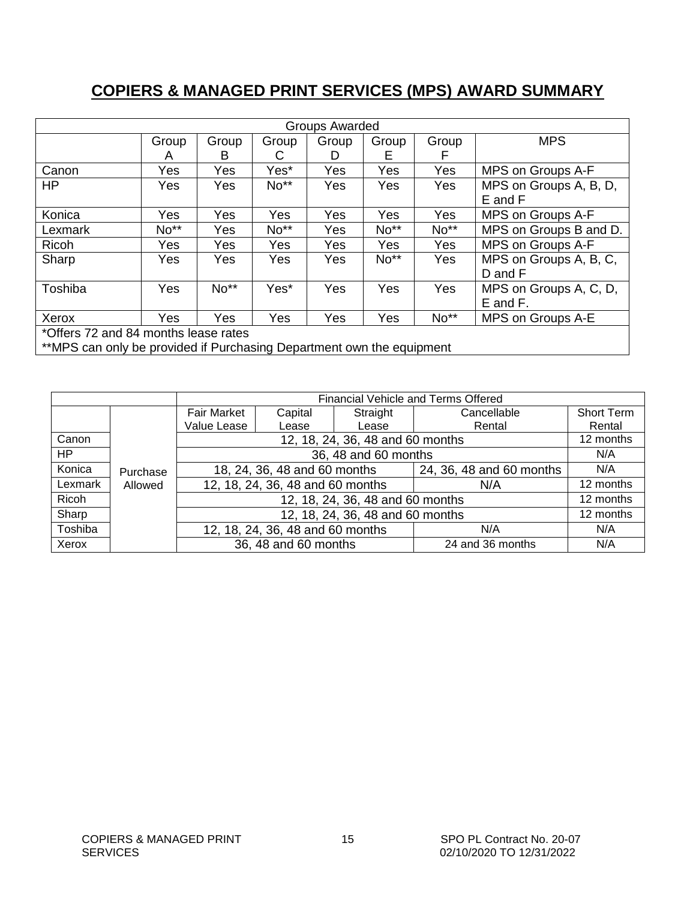### <span id="page-14-0"></span>**COPIERS & MANAGED PRINT SERVICES (MPS) AWARD SUMMARY**

| <b>Groups Awarded</b>                                                 |            |       |            |       |        |       |                        |
|-----------------------------------------------------------------------|------------|-------|------------|-------|--------|-------|------------------------|
|                                                                       | Group      | Group | Group      | Group | Group  | Group | <b>MPS</b>             |
|                                                                       | A          | в     | C          | D     | Е      | F     |                        |
| Canon                                                                 | Yes        | Yes   | Yes*       | Yes   | Yes    | Yes   | MPS on Groups A-F      |
| HP                                                                    | Yes        | Yes   | No**       | Yes   | Yes    | Yes   | MPS on Groups A, B, D, |
|                                                                       |            |       |            |       |        |       | E and F                |
| Konica                                                                | Yes        | Yes   | Yes        | Yes   | Yes    | Yes   | MPS on Groups A-F      |
| Lexmark                                                               | No**       | Yes   | No**       | Yes   | $No**$ | No**  | MPS on Groups B and D. |
| Ricoh                                                                 | Yes        | Yes   | Yes        | Yes   | Yes    | Yes   | MPS on Groups A-F      |
| Sharp                                                                 | Yes        | Yes   | Yes        | Yes   | No**   | Yes   | MPS on Groups A, B, C, |
|                                                                       |            |       |            |       |        |       | D and F                |
| Toshiba                                                               | <b>Yes</b> | No**  | Yes*       | Yes   | Yes    | Yes   | MPS on Groups A, C, D, |
|                                                                       |            |       |            |       |        |       | $E$ and $F$ .          |
| Xerox                                                                 | <b>Yes</b> | Yes   | <b>Yes</b> | Yes   | Yes    | No**  | MPS on Groups A-E      |
| *Offers 72 and 84 months lease rates                                  |            |       |            |       |        |       |                        |
| **MPS can only be provided if Purchasing Department own the equipment |            |       |            |       |        |       |                        |

|         |          | <b>Financial Vehicle and Terms Offered</b>               |                                  |          |                  |                   |
|---------|----------|----------------------------------------------------------|----------------------------------|----------|------------------|-------------------|
|         |          | Fair Market                                              | Capital                          | Straight | Cancellable      | <b>Short Term</b> |
|         |          | Value Lease                                              | Lease                            | Lease    | Rental           | Rental            |
| Canon   |          |                                                          | 12, 18, 24, 36, 48 and 60 months |          |                  | 12 months         |
| HP.     |          |                                                          | 36, 48 and 60 months             |          |                  | N/A               |
| Konica  | Purchase | 18, 24, 36, 48 and 60 months<br>24, 36, 48 and 60 months |                                  | N/A      |                  |                   |
| Lexmark | Allowed  | 12, 18, 24, 36, 48 and 60 months<br>N/A                  |                                  |          | 12 months        |                   |
| Ricoh   |          | 12, 18, 24, 36, 48 and 60 months                         |                                  |          | 12 months        |                   |
| Sharp   |          | 12, 18, 24, 36, 48 and 60 months                         |                                  |          | 12 months        |                   |
| Toshiba |          |                                                          | 12, 18, 24, 36, 48 and 60 months |          | N/A              | N/A               |
| Xerox   |          |                                                          | 36, 48 and 60 months             |          | 24 and 36 months | N/A               |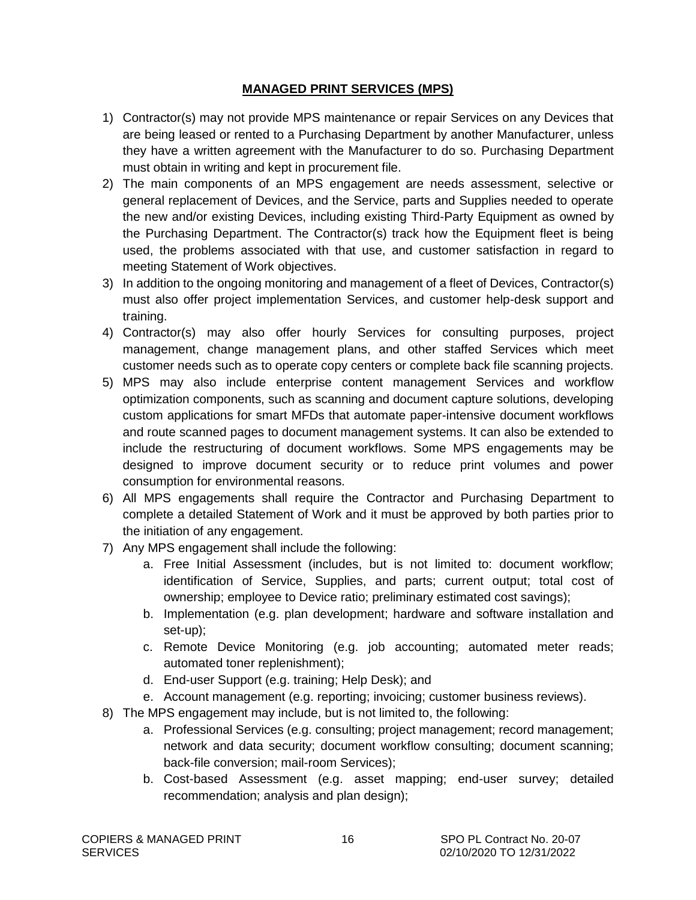#### **MANAGED PRINT SERVICES (MPS)**

- <span id="page-15-0"></span>1) Contractor(s) may not provide MPS maintenance or repair Services on any Devices that are being leased or rented to a Purchasing Department by another Manufacturer, unless they have a written agreement with the Manufacturer to do so. Purchasing Department must obtain in writing and kept in procurement file.
- 2) The main components of an MPS engagement are needs assessment, selective or general replacement of Devices, and the Service, parts and Supplies needed to operate the new and/or existing Devices, including existing Third-Party Equipment as owned by the Purchasing Department. The Contractor(s) track how the Equipment fleet is being used, the problems associated with that use, and customer satisfaction in regard to meeting Statement of Work objectives.
- 3) In addition to the ongoing monitoring and management of a fleet of Devices, Contractor(s) must also offer project implementation Services, and customer help-desk support and training.
- 4) Contractor(s) may also offer hourly Services for consulting purposes, project management, change management plans, and other staffed Services which meet customer needs such as to operate copy centers or complete back file scanning projects.
- 5) MPS may also include enterprise content management Services and workflow optimization components, such as scanning and document capture solutions, developing custom applications for smart MFDs that automate paper-intensive document workflows and route scanned pages to document management systems. It can also be extended to include the restructuring of document workflows. Some MPS engagements may be designed to improve document security or to reduce print volumes and power consumption for environmental reasons.
- 6) All MPS engagements shall require the Contractor and Purchasing Department to complete a detailed Statement of Work and it must be approved by both parties prior to the initiation of any engagement.
- 7) Any MPS engagement shall include the following:
	- a. Free Initial Assessment (includes, but is not limited to: document workflow; identification of Service, Supplies, and parts; current output; total cost of ownership; employee to Device ratio; preliminary estimated cost savings);
	- b. Implementation (e.g. plan development; hardware and software installation and set-up);
	- c. Remote Device Monitoring (e.g. job accounting; automated meter reads; automated toner replenishment);
	- d. End-user Support (e.g. training; Help Desk); and
	- e. Account management (e.g. reporting; invoicing; customer business reviews).
- 8) The MPS engagement may include, but is not limited to, the following:
	- a. Professional Services (e.g. consulting; project management; record management; network and data security; document workflow consulting; document scanning; back-file conversion; mail-room Services);
	- b. Cost-based Assessment (e.g. asset mapping; end-user survey; detailed recommendation; analysis and plan design);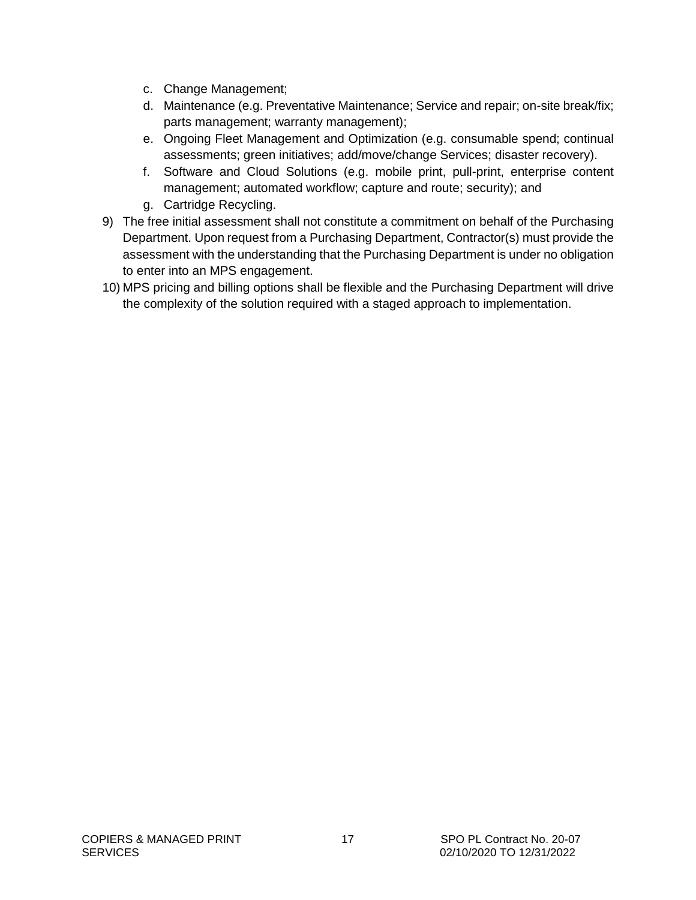- c. Change Management;
- d. Maintenance (e.g. Preventative Maintenance; Service and repair; on-site break/fix; parts management; warranty management);
- e. Ongoing Fleet Management and Optimization (e.g. consumable spend; continual assessments; green initiatives; add/move/change Services; disaster recovery).
- f. Software and Cloud Solutions (e.g. mobile print, pull-print, enterprise content management; automated workflow; capture and route; security); and
- g. Cartridge Recycling.
- 9) The free initial assessment shall not constitute a commitment on behalf of the Purchasing Department. Upon request from a Purchasing Department, Contractor(s) must provide the assessment with the understanding that the Purchasing Department is under no obligation to enter into an MPS engagement.
- 10) MPS pricing and billing options shall be flexible and the Purchasing Department will drive the complexity of the solution required with a staged approach to implementation.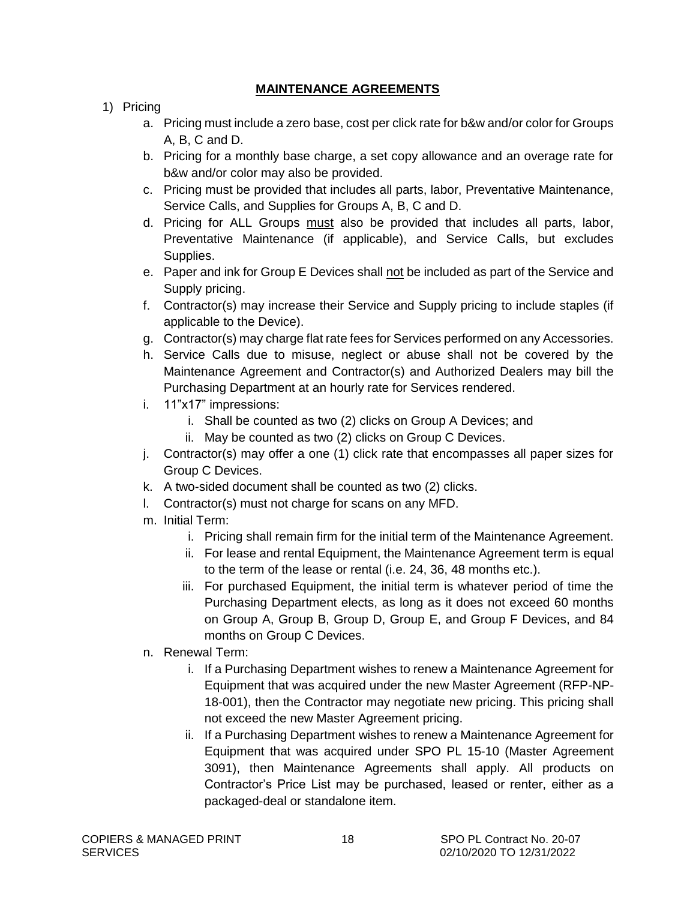#### **MAINTENANCE AGREEMENTS**

- <span id="page-17-0"></span>1) Pricing
	- a. Pricing must include a zero base, cost per click rate for b&w and/or color for Groups A, B, C and D.
	- b. Pricing for a monthly base charge, a set copy allowance and an overage rate for b&w and/or color may also be provided.
	- c. Pricing must be provided that includes all parts, labor, Preventative Maintenance, Service Calls, and Supplies for Groups A, B, C and D.
	- d. Pricing for ALL Groups must also be provided that includes all parts, labor, Preventative Maintenance (if applicable), and Service Calls, but excludes Supplies.
	- e. Paper and ink for Group E Devices shall not be included as part of the Service and Supply pricing.
	- f. Contractor(s) may increase their Service and Supply pricing to include staples (if applicable to the Device).
	- g. Contractor(s) may charge flat rate fees for Services performed on any Accessories.
	- h. Service Calls due to misuse, neglect or abuse shall not be covered by the Maintenance Agreement and Contractor(s) and Authorized Dealers may bill the Purchasing Department at an hourly rate for Services rendered.
	- i. 11"x17" impressions:
		- i. Shall be counted as two (2) clicks on Group A Devices; and
		- ii. May be counted as two (2) clicks on Group C Devices.
	- j. Contractor(s) may offer a one (1) click rate that encompasses all paper sizes for Group C Devices.
	- k. A two-sided document shall be counted as two (2) clicks.
	- l. Contractor(s) must not charge for scans on any MFD.
	- m. Initial Term:
		- i. Pricing shall remain firm for the initial term of the Maintenance Agreement.
		- ii. For lease and rental Equipment, the Maintenance Agreement term is equal to the term of the lease or rental (i.e. 24, 36, 48 months etc.).
		- iii. For purchased Equipment, the initial term is whatever period of time the Purchasing Department elects, as long as it does not exceed 60 months on Group A, Group B, Group D, Group E, and Group F Devices, and 84 months on Group C Devices.
	- n. Renewal Term:
		- i. If a Purchasing Department wishes to renew a Maintenance Agreement for Equipment that was acquired under the new Master Agreement (RFP-NP-18-001), then the Contractor may negotiate new pricing. This pricing shall not exceed the new Master Agreement pricing.
		- ii. If a Purchasing Department wishes to renew a Maintenance Agreement for Equipment that was acquired under SPO PL 15-10 (Master Agreement 3091), then Maintenance Agreements shall apply. All products on Contractor's Price List may be purchased, leased or renter, either as a packaged-deal or standalone item.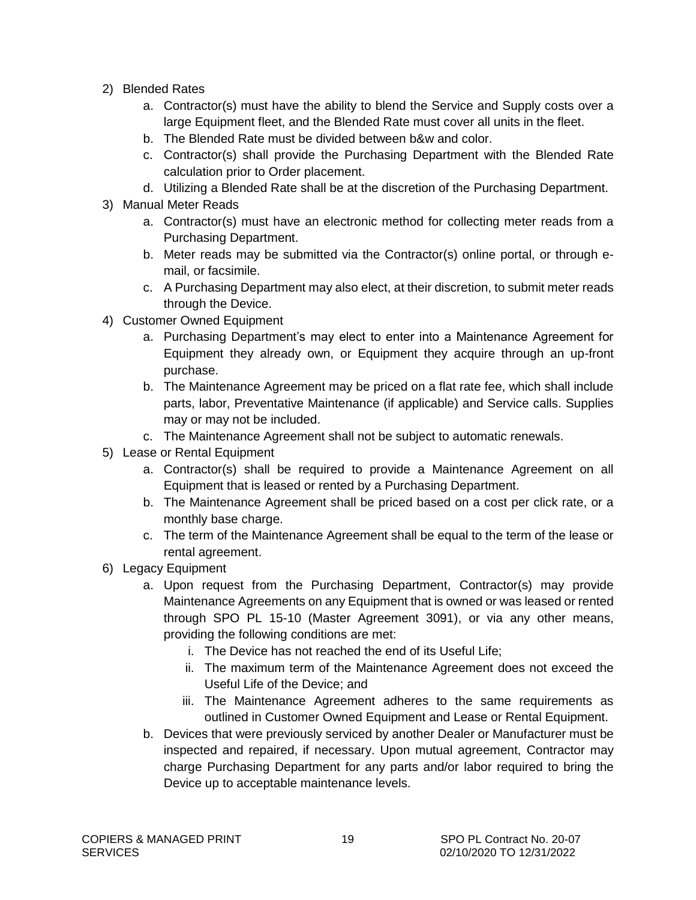- 2) Blended Rates
	- a. Contractor(s) must have the ability to blend the Service and Supply costs over a large Equipment fleet, and the Blended Rate must cover all units in the fleet.
	- b. The Blended Rate must be divided between b&w and color.
	- c. Contractor(s) shall provide the Purchasing Department with the Blended Rate calculation prior to Order placement.
	- d. Utilizing a Blended Rate shall be at the discretion of the Purchasing Department.
- 3) Manual Meter Reads
	- a. Contractor(s) must have an electronic method for collecting meter reads from a Purchasing Department.
	- b. Meter reads may be submitted via the Contractor(s) online portal, or through email, or facsimile.
	- c. A Purchasing Department may also elect, at their discretion, to submit meter reads through the Device.
- 4) Customer Owned Equipment
	- a. Purchasing Department's may elect to enter into a Maintenance Agreement for Equipment they already own, or Equipment they acquire through an up-front purchase.
	- b. The Maintenance Agreement may be priced on a flat rate fee, which shall include parts, labor, Preventative Maintenance (if applicable) and Service calls. Supplies may or may not be included.
	- c. The Maintenance Agreement shall not be subject to automatic renewals.
- 5) Lease or Rental Equipment
	- a. Contractor(s) shall be required to provide a Maintenance Agreement on all Equipment that is leased or rented by a Purchasing Department.
	- b. The Maintenance Agreement shall be priced based on a cost per click rate, or a monthly base charge.
	- c. The term of the Maintenance Agreement shall be equal to the term of the lease or rental agreement.
- 6) Legacy Equipment
	- a. Upon request from the Purchasing Department, Contractor(s) may provide Maintenance Agreements on any Equipment that is owned or was leased or rented through SPO PL 15-10 (Master Agreement 3091), or via any other means, providing the following conditions are met:
		- i. The Device has not reached the end of its Useful Life;
		- ii. The maximum term of the Maintenance Agreement does not exceed the Useful Life of the Device; and
		- iii. The Maintenance Agreement adheres to the same requirements as outlined in Customer Owned Equipment and Lease or Rental Equipment.
	- b. Devices that were previously serviced by another Dealer or Manufacturer must be inspected and repaired, if necessary. Upon mutual agreement, Contractor may charge Purchasing Department for any parts and/or labor required to bring the Device up to acceptable maintenance levels.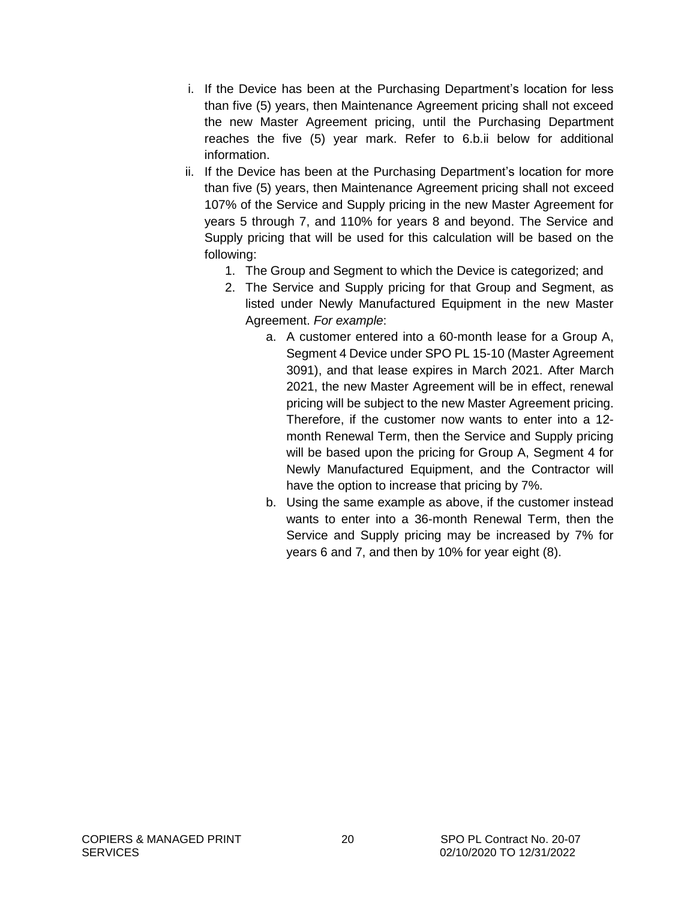- i. If the Device has been at the Purchasing Department's location for less than five (5) years, then Maintenance Agreement pricing shall not exceed the new Master Agreement pricing, until the Purchasing Department reaches the five (5) year mark. Refer to 6.b.ii below for additional information.
- ii. If the Device has been at the Purchasing Department's location for more than five (5) years, then Maintenance Agreement pricing shall not exceed 107% of the Service and Supply pricing in the new Master Agreement for years 5 through 7, and 110% for years 8 and beyond. The Service and Supply pricing that will be used for this calculation will be based on the following:
	- 1. The Group and Segment to which the Device is categorized; and
	- 2. The Service and Supply pricing for that Group and Segment, as listed under Newly Manufactured Equipment in the new Master Agreement. *For example*:
		- a. A customer entered into a 60-month lease for a Group A, Segment 4 Device under SPO PL 15-10 (Master Agreement 3091), and that lease expires in March 2021. After March 2021, the new Master Agreement will be in effect, renewal pricing will be subject to the new Master Agreement pricing. Therefore, if the customer now wants to enter into a 12 month Renewal Term, then the Service and Supply pricing will be based upon the pricing for Group A, Segment 4 for Newly Manufactured Equipment, and the Contractor will have the option to increase that pricing by 7%.
		- b. Using the same example as above, if the customer instead wants to enter into a 36-month Renewal Term, then the Service and Supply pricing may be increased by 7% for years 6 and 7, and then by 10% for year eight (8).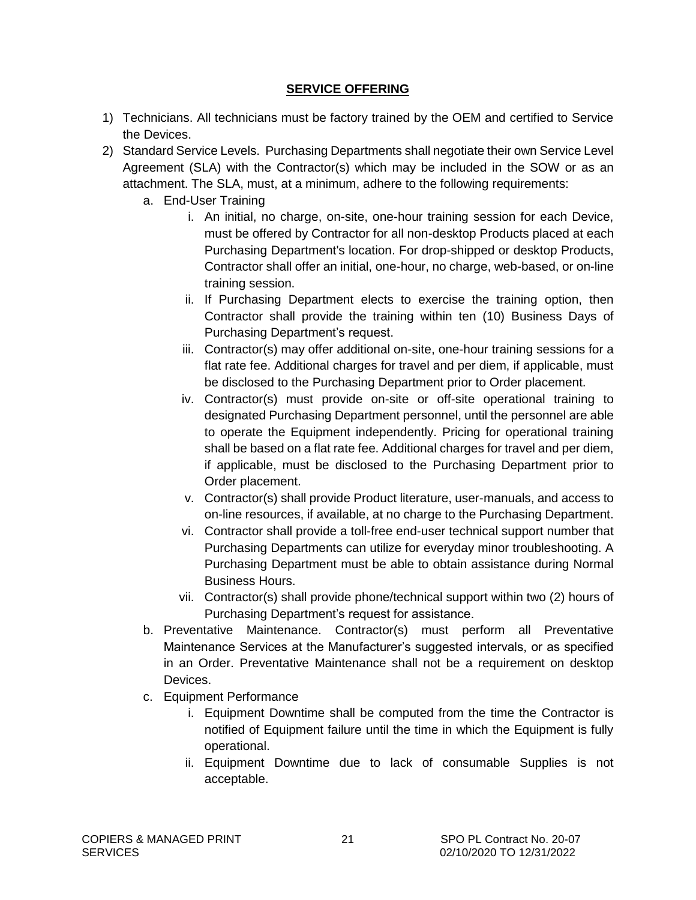#### **SERVICE OFFERING**

- <span id="page-20-0"></span>1) Technicians. All technicians must be factory trained by the OEM and certified to Service the Devices.
- 2) Standard Service Levels. Purchasing Departments shall negotiate their own Service Level Agreement (SLA) with the Contractor(s) which may be included in the SOW or as an attachment. The SLA, must, at a minimum, adhere to the following requirements:
	- a. End-User Training
		- i. An initial, no charge, on-site, one-hour training session for each Device, must be offered by Contractor for all non-desktop Products placed at each Purchasing Department's location. For drop-shipped or desktop Products, Contractor shall offer an initial, one-hour, no charge, web-based, or on-line training session.
		- ii. If Purchasing Department elects to exercise the training option, then Contractor shall provide the training within ten (10) Business Days of Purchasing Department's request.
		- iii. Contractor(s) may offer additional on-site, one-hour training sessions for a flat rate fee. Additional charges for travel and per diem, if applicable, must be disclosed to the Purchasing Department prior to Order placement.
		- iv. Contractor(s) must provide on-site or off-site operational training to designated Purchasing Department personnel, until the personnel are able to operate the Equipment independently. Pricing for operational training shall be based on a flat rate fee. Additional charges for travel and per diem, if applicable, must be disclosed to the Purchasing Department prior to Order placement.
		- v. Contractor(s) shall provide Product literature, user-manuals, and access to on-line resources, if available, at no charge to the Purchasing Department.
		- vi. Contractor shall provide a toll-free end-user technical support number that Purchasing Departments can utilize for everyday minor troubleshooting. A Purchasing Department must be able to obtain assistance during Normal Business Hours.
		- vii. Contractor(s) shall provide phone/technical support within two (2) hours of Purchasing Department's request for assistance.
	- b. Preventative Maintenance. Contractor(s) must perform all Preventative Maintenance Services at the Manufacturer's suggested intervals, or as specified in an Order. Preventative Maintenance shall not be a requirement on desktop Devices.
	- c. Equipment Performance
		- i. Equipment Downtime shall be computed from the time the Contractor is notified of Equipment failure until the time in which the Equipment is fully operational.
		- ii. Equipment Downtime due to lack of consumable Supplies is not acceptable.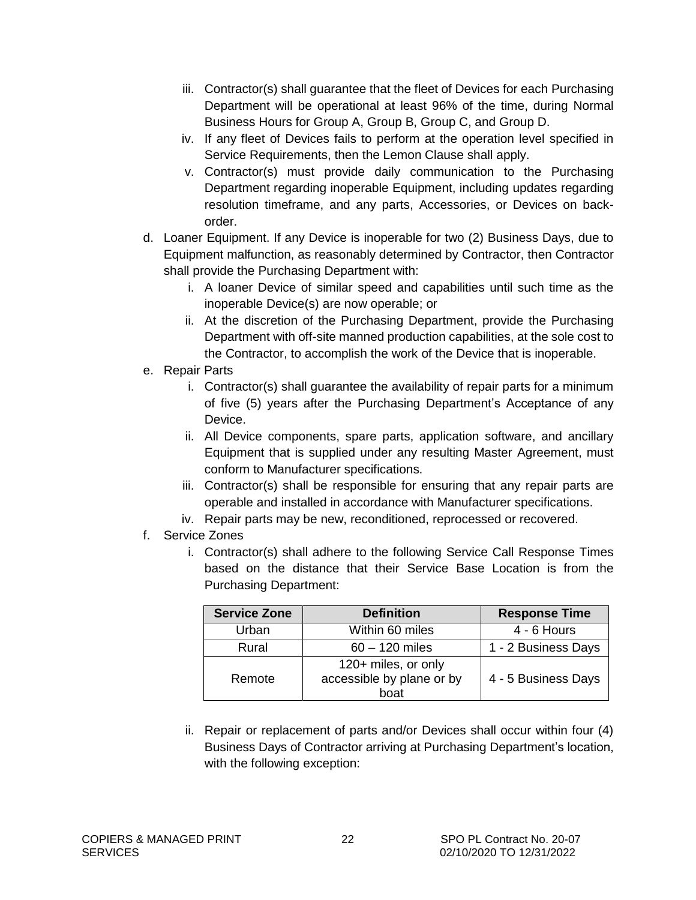- iii. Contractor(s) shall guarantee that the fleet of Devices for each Purchasing Department will be operational at least 96% of the time, during Normal Business Hours for Group A, Group B, Group C, and Group D.
- iv. If any fleet of Devices fails to perform at the operation level specified in Service Requirements, then the Lemon Clause shall apply.
- v. Contractor(s) must provide daily communication to the Purchasing Department regarding inoperable Equipment, including updates regarding resolution timeframe, and any parts, Accessories, or Devices on backorder.
- d. Loaner Equipment. If any Device is inoperable for two (2) Business Days, due to Equipment malfunction, as reasonably determined by Contractor, then Contractor shall provide the Purchasing Department with:
	- i. A loaner Device of similar speed and capabilities until such time as the inoperable Device(s) are now operable; or
	- ii. At the discretion of the Purchasing Department, provide the Purchasing Department with off-site manned production capabilities, at the sole cost to the Contractor, to accomplish the work of the Device that is inoperable.
- e. Repair Parts
	- i. Contractor(s) shall guarantee the availability of repair parts for a minimum of five (5) years after the Purchasing Department's Acceptance of any Device.
	- ii. All Device components, spare parts, application software, and ancillary Equipment that is supplied under any resulting Master Agreement, must conform to Manufacturer specifications.
	- iii. Contractor(s) shall be responsible for ensuring that any repair parts are operable and installed in accordance with Manufacturer specifications.
	- iv. Repair parts may be new, reconditioned, reprocessed or recovered.
- f. Service Zones
	- i. Contractor(s) shall adhere to the following Service Call Response Times based on the distance that their Service Base Location is from the Purchasing Department:

| <b>Service Zone</b> | <b>Definition</b>                                        | <b>Response Time</b> |
|---------------------|----------------------------------------------------------|----------------------|
| Urban               | Within 60 miles                                          | $4 - 6$ Hours        |
| Rural               | $60 - 120$ miles                                         | 1 - 2 Business Days  |
| Remote              | 120+ miles, or only<br>accessible by plane or by<br>boat | 4 - 5 Business Days  |

ii. Repair or replacement of parts and/or Devices shall occur within four (4) Business Days of Contractor arriving at Purchasing Department's location, with the following exception: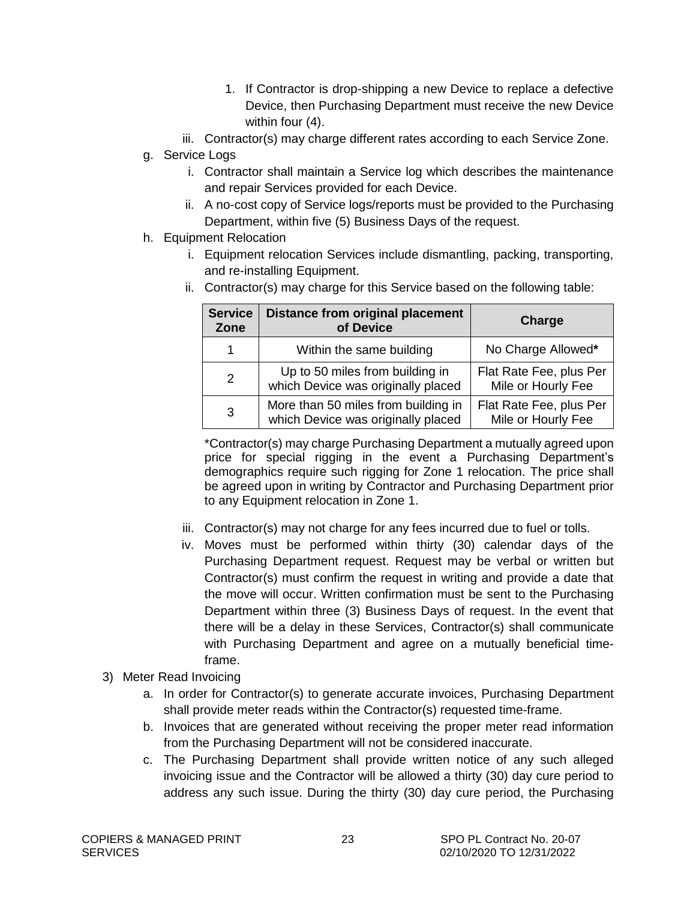- 1. If Contractor is drop-shipping a new Device to replace a defective Device, then Purchasing Department must receive the new Device within four (4).
- iii. Contractor(s) may charge different rates according to each Service Zone.
- g. Service Logs
	- i. Contractor shall maintain a Service log which describes the maintenance and repair Services provided for each Device.
	- ii. A no-cost copy of Service logs/reports must be provided to the Purchasing Department, within five (5) Business Days of the request.
- h. Equipment Relocation
	- i. Equipment relocation Services include dismantling, packing, transporting, and re-installing Equipment.
	- ii. Contractor(s) may charge for this Service based on the following table:

| <b>Service</b><br>Zone | <b>Distance from original placement</b><br>of Device                      | Charge                                        |
|------------------------|---------------------------------------------------------------------------|-----------------------------------------------|
| 1                      | Within the same building                                                  | No Charge Allowed*                            |
| 2                      | Up to 50 miles from building in<br>which Device was originally placed     | Flat Rate Fee, plus Per<br>Mile or Hourly Fee |
| 3                      | More than 50 miles from building in<br>which Device was originally placed | Flat Rate Fee, plus Per<br>Mile or Hourly Fee |

\*Contractor(s) may charge Purchasing Department a mutually agreed upon price for special rigging in the event a Purchasing Department's demographics require such rigging for Zone 1 relocation. The price shall be agreed upon in writing by Contractor and Purchasing Department prior to any Equipment relocation in Zone 1.

- iii. Contractor(s) may not charge for any fees incurred due to fuel or tolls.
- iv. Moves must be performed within thirty (30) calendar days of the Purchasing Department request. Request may be verbal or written but Contractor(s) must confirm the request in writing and provide a date that the move will occur. Written confirmation must be sent to the Purchasing Department within three (3) Business Days of request. In the event that there will be a delay in these Services, Contractor(s) shall communicate with Purchasing Department and agree on a mutually beneficial timeframe.
- 3) Meter Read Invoicing
	- a. In order for Contractor(s) to generate accurate invoices, Purchasing Department shall provide meter reads within the Contractor(s) requested time-frame.
	- b. Invoices that are generated without receiving the proper meter read information from the Purchasing Department will not be considered inaccurate.
	- c. The Purchasing Department shall provide written notice of any such alleged invoicing issue and the Contractor will be allowed a thirty (30) day cure period to address any such issue. During the thirty (30) day cure period, the Purchasing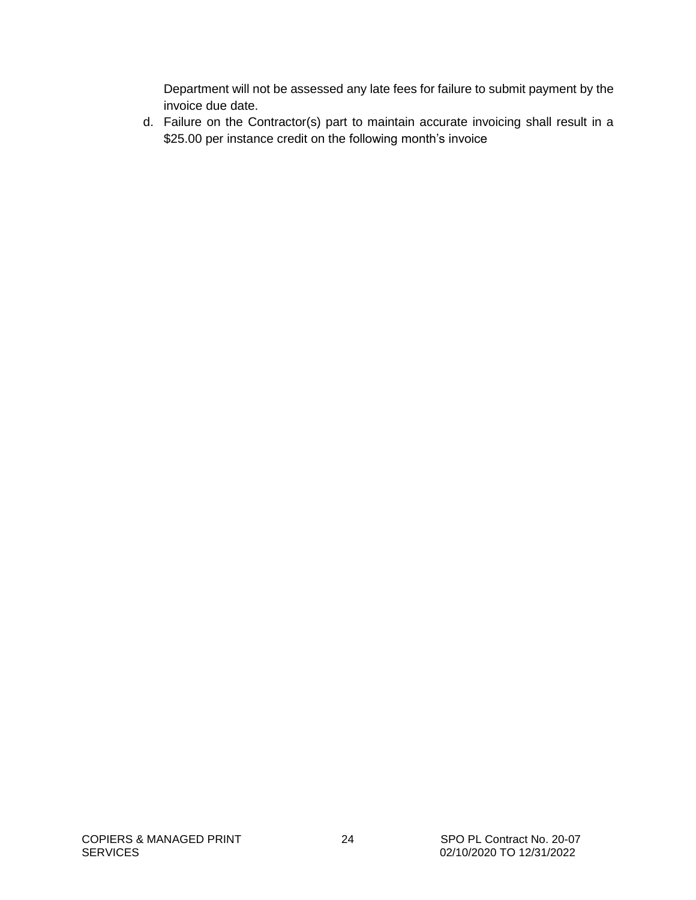Department will not be assessed any late fees for failure to submit payment by the invoice due date.

d. Failure on the Contractor(s) part to maintain accurate invoicing shall result in a \$25.00 per instance credit on the following month's invoice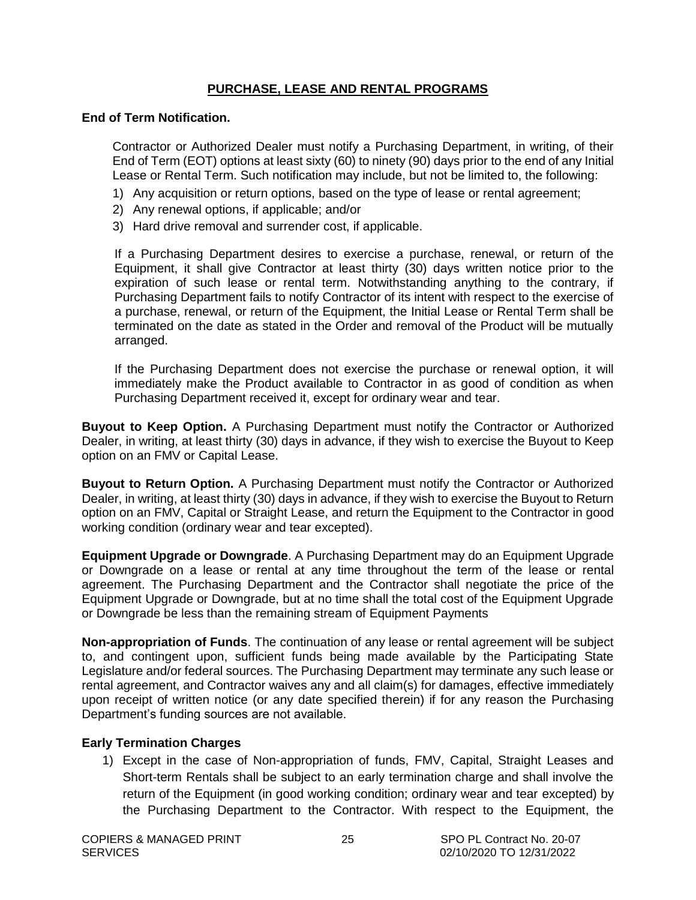#### **PURCHASE, LEASE AND RENTAL PROGRAMS**

#### <span id="page-24-0"></span>**End of Term Notification.**

Contractor or Authorized Dealer must notify a Purchasing Department, in writing, of their End of Term (EOT) options at least sixty (60) to ninety (90) days prior to the end of any Initial Lease or Rental Term. Such notification may include, but not be limited to, the following:

- 1) Any acquisition or return options, based on the type of lease or rental agreement;
- 2) Any renewal options, if applicable; and/or
- 3) Hard drive removal and surrender cost, if applicable.

If a Purchasing Department desires to exercise a purchase, renewal, or return of the Equipment, it shall give Contractor at least thirty (30) days written notice prior to the expiration of such lease or rental term. Notwithstanding anything to the contrary, if Purchasing Department fails to notify Contractor of its intent with respect to the exercise of a purchase, renewal, or return of the Equipment, the Initial Lease or Rental Term shall be terminated on the date as stated in the Order and removal of the Product will be mutually arranged.

If the Purchasing Department does not exercise the purchase or renewal option, it will immediately make the Product available to Contractor in as good of condition as when Purchasing Department received it, except for ordinary wear and tear.

**Buyout to Keep Option.** A Purchasing Department must notify the Contractor or Authorized Dealer, in writing, at least thirty (30) days in advance, if they wish to exercise the Buyout to Keep option on an FMV or Capital Lease.

**Buyout to Return Option.** A Purchasing Department must notify the Contractor or Authorized Dealer, in writing, at least thirty (30) days in advance, if they wish to exercise the Buyout to Return option on an FMV, Capital or Straight Lease, and return the Equipment to the Contractor in good working condition (ordinary wear and tear excepted).

**Equipment Upgrade or Downgrade**. A Purchasing Department may do an Equipment Upgrade or Downgrade on a lease or rental at any time throughout the term of the lease or rental agreement. The Purchasing Department and the Contractor shall negotiate the price of the Equipment Upgrade or Downgrade, but at no time shall the total cost of the Equipment Upgrade or Downgrade be less than the remaining stream of Equipment Payments

**Non-appropriation of Funds**. The continuation of any lease or rental agreement will be subject to, and contingent upon, sufficient funds being made available by the Participating State Legislature and/or federal sources. The Purchasing Department may terminate any such lease or rental agreement, and Contractor waives any and all claim(s) for damages, effective immediately upon receipt of written notice (or any date specified therein) if for any reason the Purchasing Department's funding sources are not available.

#### **Early Termination Charges**

1) Except in the case of Non-appropriation of funds, FMV, Capital, Straight Leases and Short-term Rentals shall be subject to an early termination charge and shall involve the return of the Equipment (in good working condition; ordinary wear and tear excepted) by the Purchasing Department to the Contractor. With respect to the Equipment, the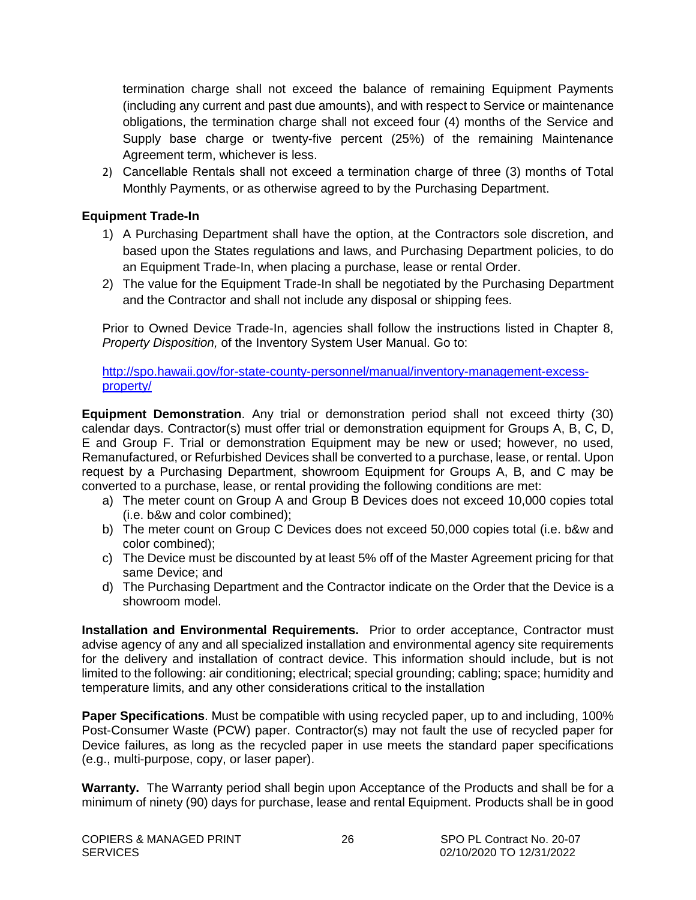<span id="page-25-0"></span>termination charge shall not exceed the balance of remaining Equipment Payments (including any current and past due amounts), and with respect to Service or maintenance obligations, the termination charge shall not exceed four (4) months of the Service and Supply base charge or twenty-five percent (25%) of the remaining Maintenance Agreement term, whichever is less.

2) Cancellable Rentals shall not exceed a termination charge of three (3) months of Total Monthly Payments, or as otherwise agreed to by the Purchasing Department.

#### **Equipment Trade-In**

- 1) A Purchasing Department shall have the option, at the Contractors sole discretion, and based upon the States regulations and laws, and Purchasing Department policies, to do an Equipment Trade-In, when placing a purchase, lease or rental Order.
- 2) The value for the Equipment Trade-In shall be negotiated by the Purchasing Department and the Contractor and shall not include any disposal or shipping fees.

Prior to Owned Device Trade-In, agencies shall follow the instructions listed in Chapter 8, *Property Disposition,* of the Inventory System User Manual. Go to:

[http://spo.hawaii.gov/for-state-county-personnel/manual/inventory-management-excess](http://spo.hawaii.gov/for-state-county-personnel/manual/inventory-management-excess-property/)[property/](http://spo.hawaii.gov/for-state-county-personnel/manual/inventory-management-excess-property/)

**Equipment Demonstration**. Any trial or demonstration period shall not exceed thirty (30) calendar days. Contractor(s) must offer trial or demonstration equipment for Groups A, B, C, D, E and Group F. Trial or demonstration Equipment may be new or used; however, no used, Remanufactured, or Refurbished Devices shall be converted to a purchase, lease, or rental. Upon request by a Purchasing Department, showroom Equipment for Groups A, B, and C may be converted to a purchase, lease, or rental providing the following conditions are met:

- a) The meter count on Group A and Group B Devices does not exceed 10,000 copies total (i.e. b&w and color combined);
- b) The meter count on Group C Devices does not exceed 50,000 copies total (i.e. b&w and color combined);
- c) The Device must be discounted by at least 5% off of the Master Agreement pricing for that same Device; and
- d) The Purchasing Department and the Contractor indicate on the Order that the Device is a showroom model.

**Installation and Environmental Requirements.** Prior to order acceptance, Contractor must advise agency of any and all specialized installation and environmental agency site requirements for the delivery and installation of contract device. This information should include, but is not limited to the following: air conditioning; electrical; special grounding; cabling; space; humidity and temperature limits, and any other considerations critical to the installation

**Paper Specifications**. Must be compatible with using recycled paper, up to and including, 100% Post-Consumer Waste (PCW) paper. Contractor(s) may not fault the use of recycled paper for Device failures, as long as the recycled paper in use meets the standard paper specifications (e.g., multi-purpose, copy, or laser paper).

**Warranty.** The Warranty period shall begin upon Acceptance of the Products and shall be for a minimum of ninety (90) days for purchase, lease and rental Equipment. Products shall be in good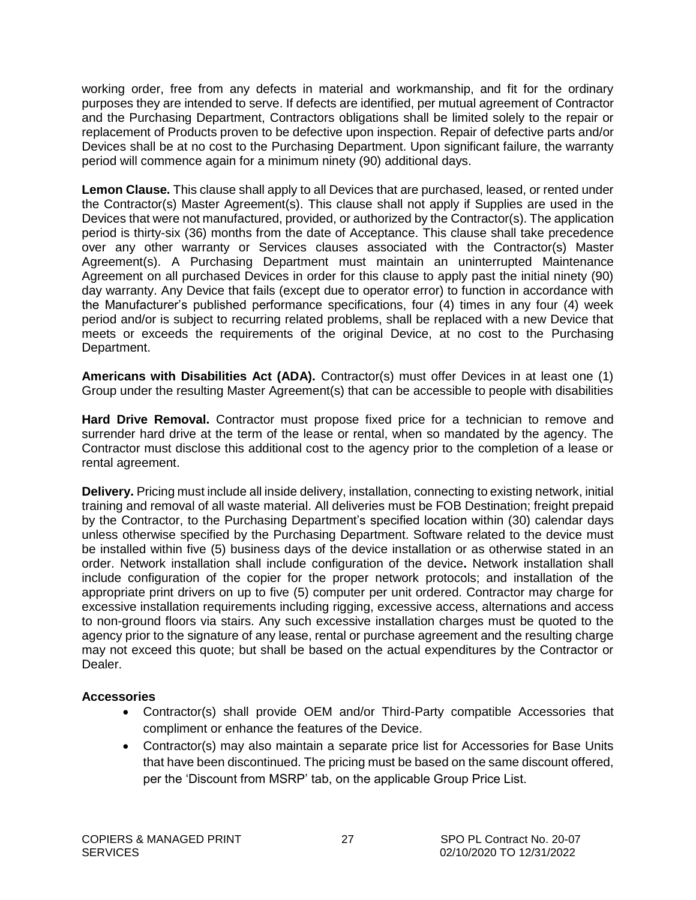<span id="page-26-0"></span>working order, free from any defects in material and workmanship, and fit for the ordinary purposes they are intended to serve. If defects are identified, per mutual agreement of Contractor and the Purchasing Department, Contractors obligations shall be limited solely to the repair or replacement of Products proven to be defective upon inspection. Repair of defective parts and/or Devices shall be at no cost to the Purchasing Department. Upon significant failure, the warranty period will commence again for a minimum ninety (90) additional days.

**Lemon Clause.** This clause shall apply to all Devices that are purchased, leased, or rented under the Contractor(s) Master Agreement(s). This clause shall not apply if Supplies are used in the Devices that were not manufactured, provided, or authorized by the Contractor(s). The application period is thirty-six (36) months from the date of Acceptance. This clause shall take precedence over any other warranty or Services clauses associated with the Contractor(s) Master Agreement(s). A Purchasing Department must maintain an uninterrupted Maintenance Agreement on all purchased Devices in order for this clause to apply past the initial ninety (90) day warranty. Any Device that fails (except due to operator error) to function in accordance with the Manufacturer's published performance specifications, four (4) times in any four (4) week period and/or is subject to recurring related problems, shall be replaced with a new Device that meets or exceeds the requirements of the original Device, at no cost to the Purchasing Department.

**Americans with Disabilities Act (ADA).** Contractor(s) must offer Devices in at least one (1) Group under the resulting Master Agreement(s) that can be accessible to people with disabilities

**Hard Drive Removal.** Contractor must propose fixed price for a technician to remove and surrender hard drive at the term of the lease or rental, when so mandated by the agency. The Contractor must disclose this additional cost to the agency prior to the completion of a lease or rental agreement.

**Delivery.** Pricing must include all inside delivery, installation, connecting to existing network, initial training and removal of all waste material. All deliveries must be FOB Destination; freight prepaid by the Contractor, to the Purchasing Department's specified location within (30) calendar days unless otherwise specified by the Purchasing Department. Software related to the device must be installed within five (5) business days of the device installation or as otherwise stated in an order. Network installation shall include configuration of the device**.** Network installation shall include configuration of the copier for the proper network protocols; and installation of the appropriate print drivers on up to five (5) computer per unit ordered. Contractor may charge for excessive installation requirements including rigging, excessive access, alternations and access to non-ground floors via stairs. Any such excessive installation charges must be quoted to the agency prior to the signature of any lease, rental or purchase agreement and the resulting charge may not exceed this quote; but shall be based on the actual expenditures by the Contractor or Dealer.

#### **Accessories**

- Contractor(s) shall provide OEM and/or Third-Party compatible Accessories that compliment or enhance the features of the Device.
- Contractor(s) may also maintain a separate price list for Accessories for Base Units that have been discontinued. The pricing must be based on the same discount offered, per the 'Discount from MSRP' tab, on the applicable Group Price List.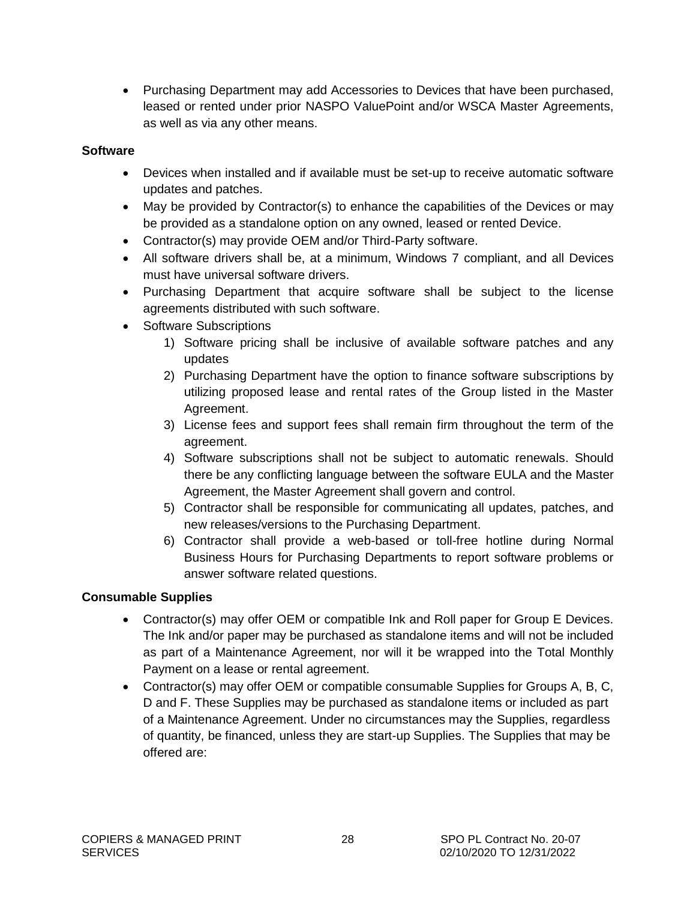<span id="page-27-0"></span> Purchasing Department may add Accessories to Devices that have been purchased, leased or rented under prior NASPO ValuePoint and/or WSCA Master Agreements, as well as via any other means.

#### **Software**

- Devices when installed and if available must be set-up to receive automatic software updates and patches.
- May be provided by Contractor(s) to enhance the capabilities of the Devices or may be provided as a standalone option on any owned, leased or rented Device.
- Contractor(s) may provide OEM and/or Third-Party software.
- All software drivers shall be, at a minimum, Windows 7 compliant, and all Devices must have universal software drivers.
- Purchasing Department that acquire software shall be subject to the license agreements distributed with such software.
- Software Subscriptions
	- 1) Software pricing shall be inclusive of available software patches and any updates
	- 2) Purchasing Department have the option to finance software subscriptions by utilizing proposed lease and rental rates of the Group listed in the Master Agreement.
	- 3) License fees and support fees shall remain firm throughout the term of the agreement.
	- 4) Software subscriptions shall not be subject to automatic renewals. Should there be any conflicting language between the software EULA and the Master Agreement, the Master Agreement shall govern and control.
	- 5) Contractor shall be responsible for communicating all updates, patches, and new releases/versions to the Purchasing Department.
	- 6) Contractor shall provide a web-based or toll-free hotline during Normal Business Hours for Purchasing Departments to report software problems or answer software related questions.

#### **Consumable Supplies**

- Contractor(s) may offer OEM or compatible Ink and Roll paper for Group E Devices. The Ink and/or paper may be purchased as standalone items and will not be included as part of a Maintenance Agreement, nor will it be wrapped into the Total Monthly Payment on a lease or rental agreement.
- Contractor(s) may offer OEM or compatible consumable Supplies for Groups A, B, C, D and F. These Supplies may be purchased as standalone items or included as part of a Maintenance Agreement. Under no circumstances may the Supplies, regardless of quantity, be financed, unless they are start-up Supplies. The Supplies that may be offered are: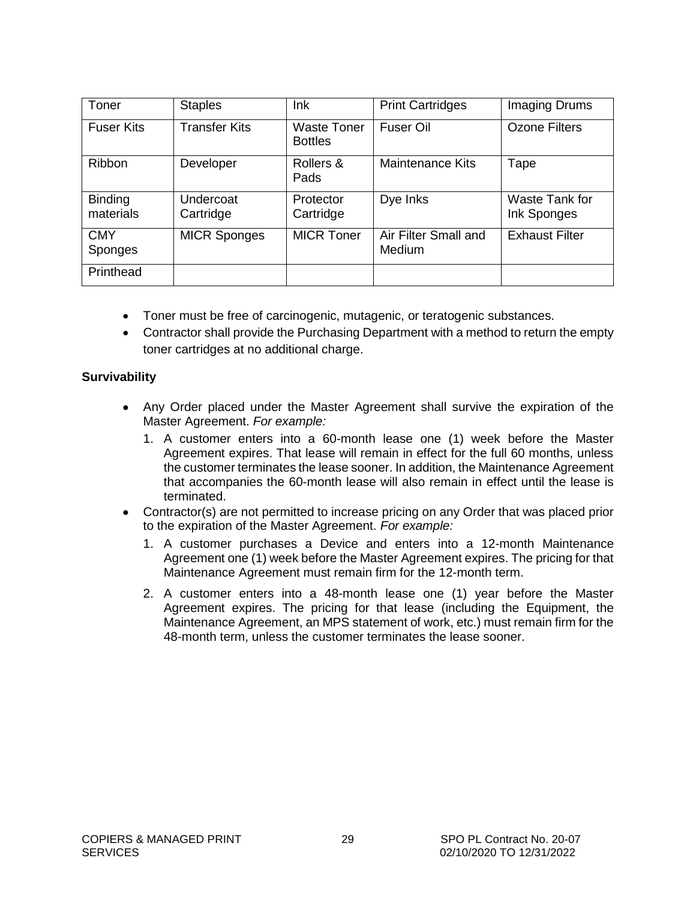<span id="page-28-0"></span>

| Toner                       | <b>Staples</b>         | Ink                                  | <b>Print Cartridges</b>        | Imaging Drums                        |
|-----------------------------|------------------------|--------------------------------------|--------------------------------|--------------------------------------|
| <b>Fuser Kits</b>           | <b>Transfer Kits</b>   | <b>Waste Toner</b><br><b>Bottles</b> | Fuser Oil                      | <b>Ozone Filters</b>                 |
| Ribbon                      | Developer              | Rollers &<br>Pads                    | <b>Maintenance Kits</b>        | Tape                                 |
| <b>Binding</b><br>materials | Undercoat<br>Cartridge | Protector<br>Cartridge               | Dye Inks                       | <b>Waste Tank for</b><br>Ink Sponges |
| <b>CMY</b><br>Sponges       | <b>MICR Sponges</b>    | <b>MICR Toner</b>                    | Air Filter Small and<br>Medium | <b>Exhaust Filter</b>                |
| Printhead                   |                        |                                      |                                |                                      |

- Toner must be free of carcinogenic, mutagenic, or teratogenic substances.
- Contractor shall provide the Purchasing Department with a method to return the empty toner cartridges at no additional charge.

#### **Survivability**

- Any Order placed under the Master Agreement shall survive the expiration of the Master Agreement. *For example:*
	- 1. A customer enters into a 60-month lease one (1) week before the Master Agreement expires. That lease will remain in effect for the full 60 months, unless the customer terminates the lease sooner. In addition, the Maintenance Agreement that accompanies the 60-month lease will also remain in effect until the lease is terminated.
- Contractor(s) are not permitted to increase pricing on any Order that was placed prior to the expiration of the Master Agreement. *For example:*
	- 1. A customer purchases a Device and enters into a 12-month Maintenance Agreement one (1) week before the Master Agreement expires. The pricing for that Maintenance Agreement must remain firm for the 12-month term.
	- 2. A customer enters into a 48-month lease one (1) year before the Master Agreement expires. The pricing for that lease (including the Equipment, the Maintenance Agreement, an MPS statement of work, etc.) must remain firm for the 48-month term, unless the customer terminates the lease sooner.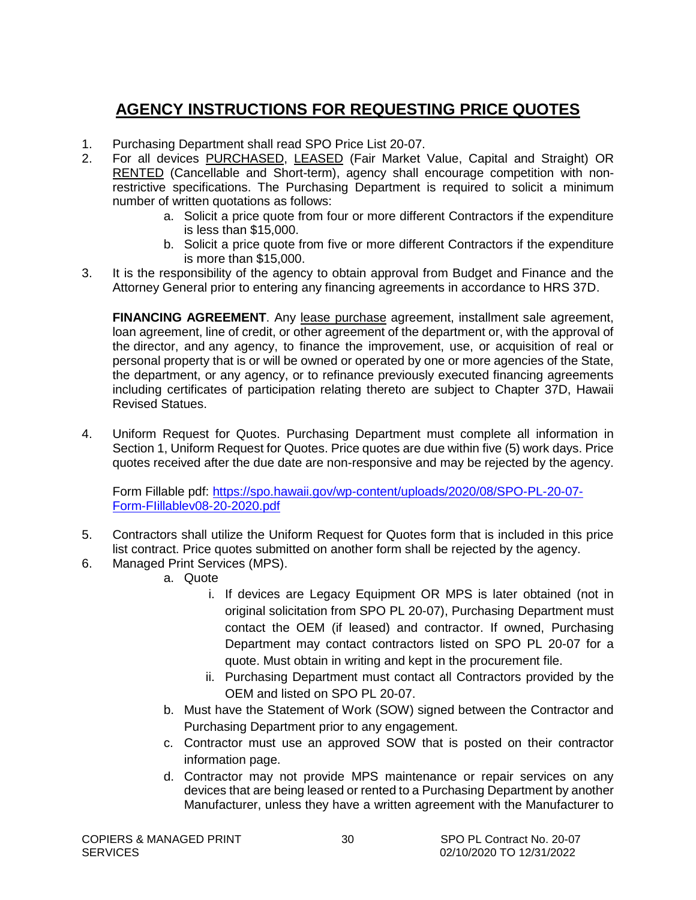### <span id="page-29-0"></span>**AGENCY INSTRUCTIONS FOR REQUESTING PRICE QUOTES**

- 1. Purchasing Department shall read SPO Price List 20-07.
- 2. For all devices PURCHASED, LEASED (Fair Market Value, Capital and Straight) OR RENTED (Cancellable and Short-term), agency shall encourage competition with nonrestrictive specifications. The Purchasing Department is required to solicit a minimum number of written quotations as follows:
	- a. Solicit a price quote from four or more different Contractors if the expenditure is less than \$15,000.
	- b. Solicit a price quote from five or more different Contractors if the expenditure is more than \$15,000.
- 3. It is the responsibility of the agency to obtain approval from Budget and Finance and the Attorney General prior to entering any financing agreements in accordance to HRS 37D.

FINANCING AGREEMENT. Any lease purchase agreement, installment sale agreement, loan agreement, line of credit, or other agreement of the department or, with the approval of the director, and any agency, to finance the improvement, use, or acquisition of real or personal property that is or will be owned or operated by one or more agencies of the State, the department, or any agency, or to refinance previously executed financing agreements including certificates of participation relating thereto are subject to Chapter 37D, Hawaii Revised Statues.

4. Uniform Request for Quotes. Purchasing Department must complete all information in Section 1, Uniform Request for Quotes. Price quotes are due within five (5) work days. Price quotes received after the due date are non-responsive and may be rejected by the agency.

Form Fillable pdf: [https://spo.hawaii.gov/wp-content/uploads/2020/08/SPO-PL-20-07-](https://spo.hawaii.gov/wp-content/uploads/2020/08/SPO-PL-20-07-Form-FIillablev08-20-2020.pdf) [Form-FIillablev08-20-2020.pdf](https://spo.hawaii.gov/wp-content/uploads/2020/08/SPO-PL-20-07-Form-FIillablev08-20-2020.pdf)

- 5. Contractors shall utilize the Uniform Request for Quotes form that is included in this price list contract. Price quotes submitted on another form shall be rejected by the agency.
- 6. Managed Print Services (MPS).
	- a. Quote
		- i. If devices are Legacy Equipment OR MPS is later obtained (not in original solicitation from SPO PL 20-07), Purchasing Department must contact the OEM (if leased) and contractor. If owned, Purchasing Department may contact contractors listed on SPO PL 20-07 for a quote. Must obtain in writing and kept in the procurement file.
		- ii. Purchasing Department must contact all Contractors provided by the OEM and listed on SPO PL 20-07.
	- b. Must have the Statement of Work (SOW) signed between the Contractor and Purchasing Department prior to any engagement.
	- c. Contractor must use an approved SOW that is posted on their contractor information page.
	- d. Contractor may not provide MPS maintenance or repair services on any devices that are being leased or rented to a Purchasing Department by another Manufacturer, unless they have a written agreement with the Manufacturer to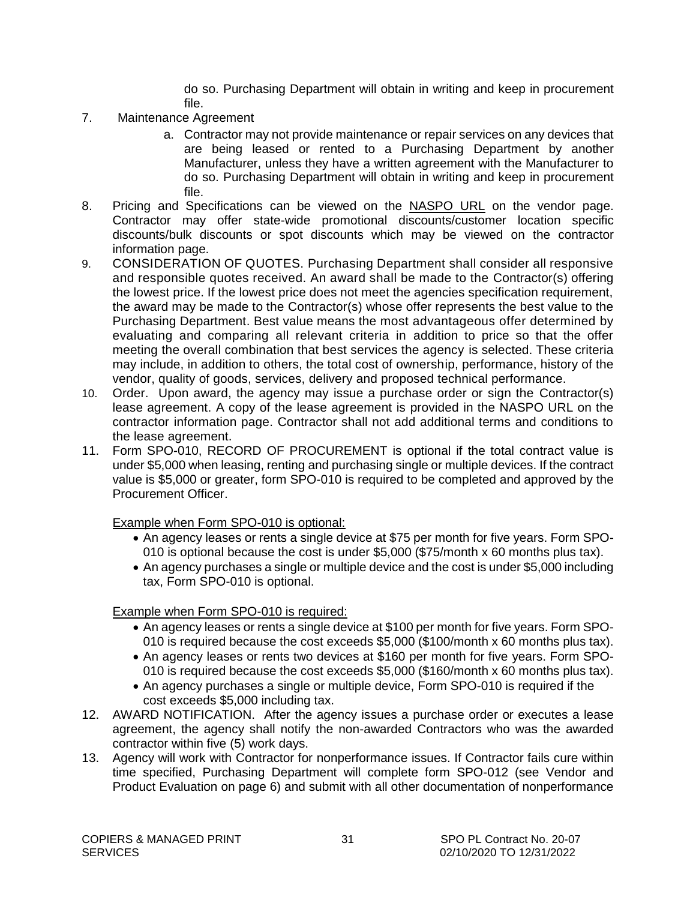do so. Purchasing Department will obtain in writing and keep in procurement file.

- 7. Maintenance Agreement
	- a. Contractor may not provide maintenance or repair services on any devices that are being leased or rented to a Purchasing Department by another Manufacturer, unless they have a written agreement with the Manufacturer to do so. Purchasing Department will obtain in writing and keep in procurement file.
- 8. Pricing and Specifications can be viewed on the NASPO URL on the vendor page. Contractor may offer state-wide promotional discounts/customer location specific discounts/bulk discounts or spot discounts which may be viewed on the contractor information page.
- 9. CONSIDERATION OF QUOTES. Purchasing Department shall consider all responsive and responsible quotes received. An award shall be made to the Contractor(s) offering the lowest price. If the lowest price does not meet the agencies specification requirement, the award may be made to the Contractor(s) whose offer represents the best value to the Purchasing Department. Best value means the most advantageous offer determined by evaluating and comparing all relevant criteria in addition to price so that the offer meeting the overall combination that best services the agency is selected. These criteria may include, in addition to others, the total cost of ownership, performance, history of the vendor, quality of goods, services, delivery and proposed technical performance.
- 10. Order. Upon award, the agency may issue a purchase order or sign the Contractor(s) lease agreement. A copy of the lease agreement is provided in the NASPO URL on the contractor information page. Contractor shall not add additional terms and conditions to the lease agreement.
- 11. Form SPO-010, RECORD OF PROCUREMENT is optional if the total contract value is under \$5,000 when leasing, renting and purchasing single or multiple devices. If the contract value is \$5,000 or greater, form SPO-010 is required to be completed and approved by the Procurement Officer.

Example when Form SPO-010 is optional:

- An agency leases or rents a single device at \$75 per month for five years. Form SPO-010 is optional because the cost is under \$5,000 (\$75/month x 60 months plus tax).
- An agency purchases a single or multiple device and the cost is under \$5,000 including tax, Form SPO-010 is optional.

Example when Form SPO-010 is required:

- An agency leases or rents a single device at \$100 per month for five years. Form SPO-010 is required because the cost exceeds \$5,000 (\$100/month x 60 months plus tax).
- An agency leases or rents two devices at \$160 per month for five years. Form SPO-010 is required because the cost exceeds \$5,000 (\$160/month x 60 months plus tax).
- An agency purchases a single or multiple device, Form SPO-010 is required if the cost exceeds \$5,000 including tax.
- 12. AWARD NOTIFICATION. After the agency issues a purchase order or executes a lease agreement, the agency shall notify the non-awarded Contractors who was the awarded contractor within five (5) work days.
- 13. Agency will work with Contractor for nonperformance issues. If Contractor fails cure within time specified, Purchasing Department will complete form SPO-012 (see Vendor and Product Evaluation on page 6) and submit with all other documentation of nonperformance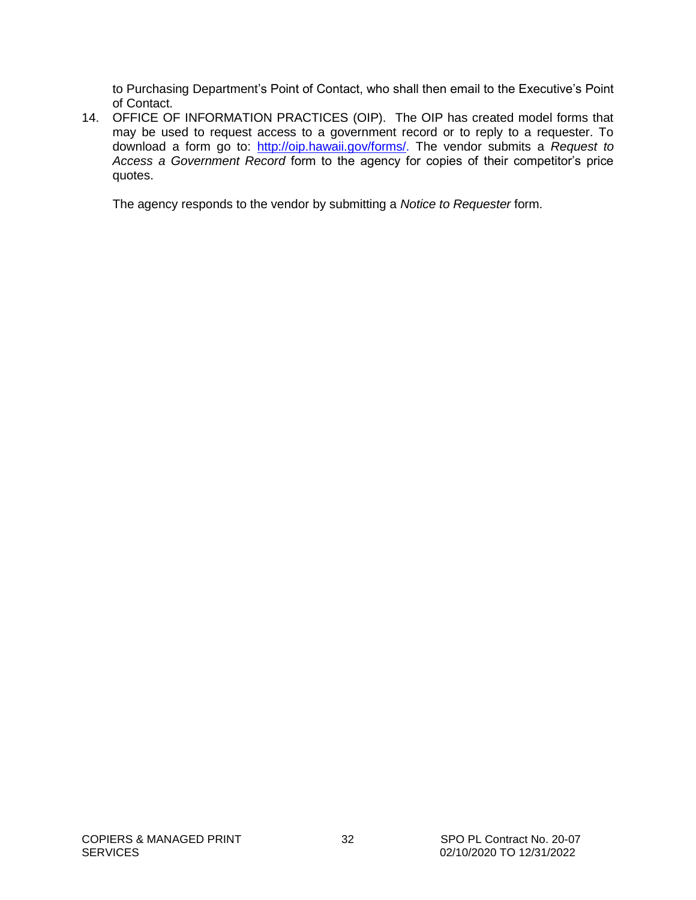to Purchasing Department's Point of Contact, who shall then email to the Executive's Point of Contact.

14. OFFICE OF INFORMATION PRACTICES (OIP). The OIP has created model forms that may be used to request access to a government record or to reply to a requester. To download a form go to: [http://oip.hawaii.gov/forms/.](http://oip.hawaii.gov/forms/) The vendor submits a *Request to Access a Government Record* form to the agency for copies of their competitor's price quotes.

The agency responds to the vendor by submitting a *Notice to Requester* form.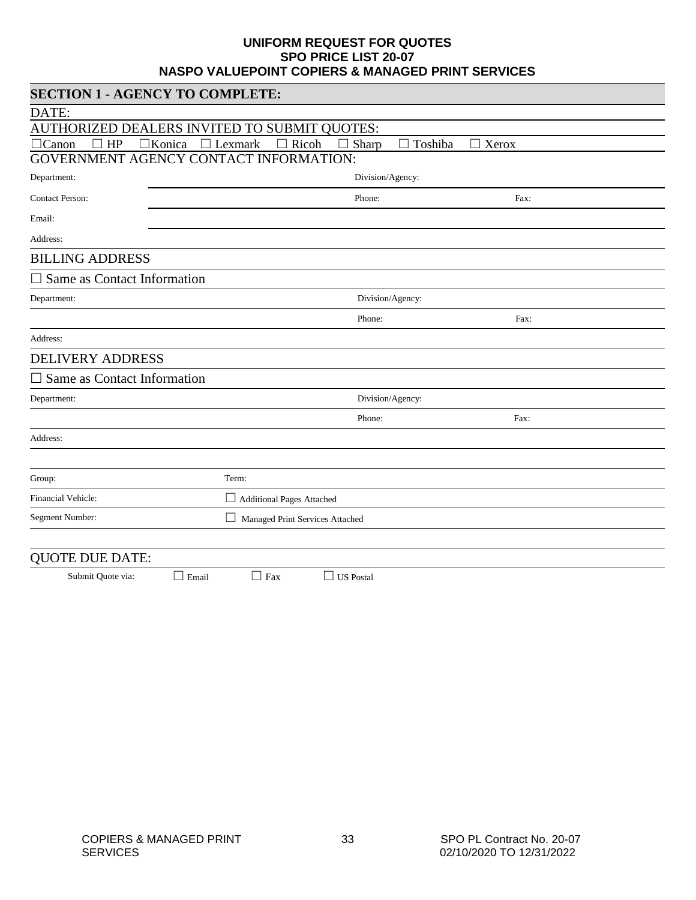#### **UNIFORM REQUEST FOR QUOTES SPO PRICE LIST 20-07 NASPO VALUEPOINT COPIERS & MANAGED PRINT SERVICES**

<span id="page-32-0"></span>

| <b>SECTION 1 - AGENCY TO COMPLETE:</b>                                                       |                                       |                  |      |  |  |  |
|----------------------------------------------------------------------------------------------|---------------------------------------|------------------|------|--|--|--|
| DATE:                                                                                        |                                       |                  |      |  |  |  |
| AUTHORIZED DEALERS INVITED TO SUBMIT QUOTES:                                                 |                                       |                  |      |  |  |  |
| $\Box$ Canon<br>HP<br>□Konica<br>$\Box$ Lexmark<br>Ricoh<br>Sharp<br>Toshiba<br>$\Box$ Xerox |                                       |                  |      |  |  |  |
| GOVERNMENT AGENCY CONTACT INFORMATION:                                                       |                                       |                  |      |  |  |  |
| Department:                                                                                  | Division/Agency:                      |                  |      |  |  |  |
| <b>Contact Person:</b>                                                                       |                                       | Phone:           | Fax: |  |  |  |
| Email:                                                                                       |                                       |                  |      |  |  |  |
| Address:                                                                                     |                                       |                  |      |  |  |  |
| <b>BILLING ADDRESS</b>                                                                       |                                       |                  |      |  |  |  |
| $\square$ Same as Contact Information                                                        |                                       |                  |      |  |  |  |
| Department:                                                                                  |                                       | Division/Agency: |      |  |  |  |
|                                                                                              |                                       | Phone:           | Fax: |  |  |  |
| Address:                                                                                     |                                       |                  |      |  |  |  |
| <b>DELIVERY ADDRESS</b>                                                                      |                                       |                  |      |  |  |  |
| $\square$ Same as Contact Information                                                        |                                       |                  |      |  |  |  |
| Department:                                                                                  |                                       | Division/Agency: |      |  |  |  |
|                                                                                              |                                       | Phone:           | Fax: |  |  |  |
| Address:                                                                                     |                                       |                  |      |  |  |  |
|                                                                                              |                                       |                  |      |  |  |  |
| Group:                                                                                       | Term:                                 |                  |      |  |  |  |
| Financial Vehicle:                                                                           | □<br><b>Additional Pages Attached</b> |                  |      |  |  |  |
| Segment Number:                                                                              | Managed Print Services Attached       |                  |      |  |  |  |
|                                                                                              |                                       |                  |      |  |  |  |
| <b>QUOTE DUE DATE:</b>                                                                       |                                       |                  |      |  |  |  |

Submit Quote via:  $\Box$  Email  $\Box$  Fax  $\Box$  US Postal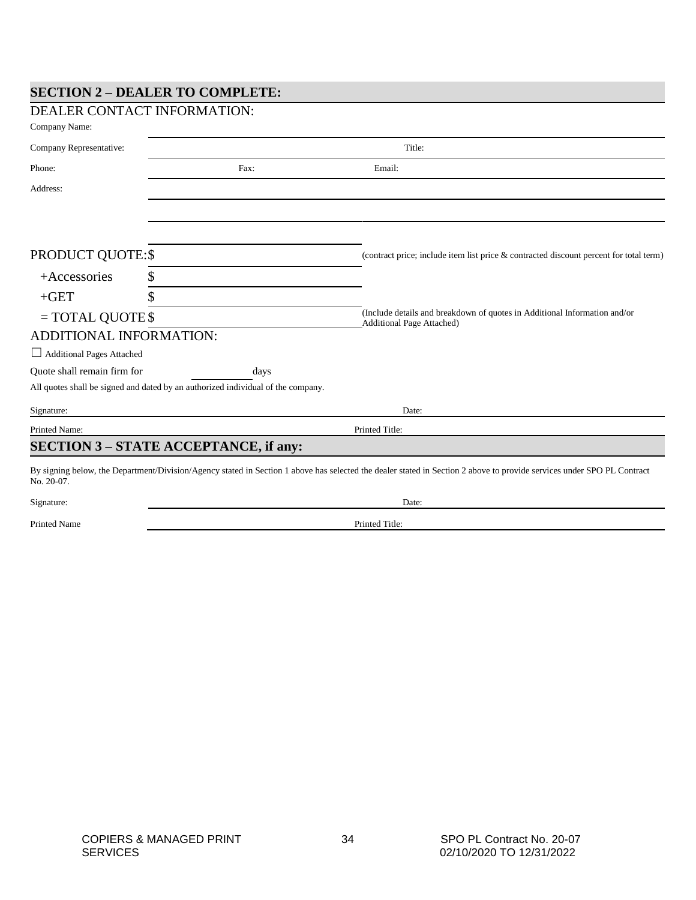#### **SECTION 2 – DEALER TO COMPLETE:**

| DEALER CONTACT INFORMATION:                  |                                                                                  |                                                                                                                                                                        |  |
|----------------------------------------------|----------------------------------------------------------------------------------|------------------------------------------------------------------------------------------------------------------------------------------------------------------------|--|
| Company Name:                                |                                                                                  |                                                                                                                                                                        |  |
| Company Representative:                      |                                                                                  | Title:                                                                                                                                                                 |  |
| Phone:                                       | Fax:                                                                             | Email:                                                                                                                                                                 |  |
| Address:                                     |                                                                                  |                                                                                                                                                                        |  |
|                                              |                                                                                  |                                                                                                                                                                        |  |
|                                              |                                                                                  |                                                                                                                                                                        |  |
| PRODUCT QUOTE:\$                             |                                                                                  | (contract price; include item list price & contracted discount percent for total term)                                                                                 |  |
| $+$ Accessories<br>\$                        |                                                                                  |                                                                                                                                                                        |  |
| $+GET$                                       |                                                                                  |                                                                                                                                                                        |  |
| $=$ TOTAL QUOTE \$                           |                                                                                  | (Include details and breakdown of quotes in Additional Information and/or<br><b>Additional Page Attached)</b>                                                          |  |
| ADDITIONAL INFORMATION:                      |                                                                                  |                                                                                                                                                                        |  |
| Additional Pages Attached                    |                                                                                  |                                                                                                                                                                        |  |
| Quote shall remain firm for                  | days                                                                             |                                                                                                                                                                        |  |
|                                              | All quotes shall be signed and dated by an authorized individual of the company. |                                                                                                                                                                        |  |
| Signature:                                   |                                                                                  | Date:                                                                                                                                                                  |  |
| Printed Name:                                |                                                                                  | Printed Title:                                                                                                                                                         |  |
| <b>SECTION 3 - STATE ACCEPTANCE, if any:</b> |                                                                                  |                                                                                                                                                                        |  |
| No. 20-07.                                   |                                                                                  | By signing below, the Department/Division/Agency stated in Section 1 above has selected the dealer stated in Section 2 above to provide services under SPO PL Contract |  |
| Signature:                                   |                                                                                  | Date:                                                                                                                                                                  |  |

Printed Name Printed Title: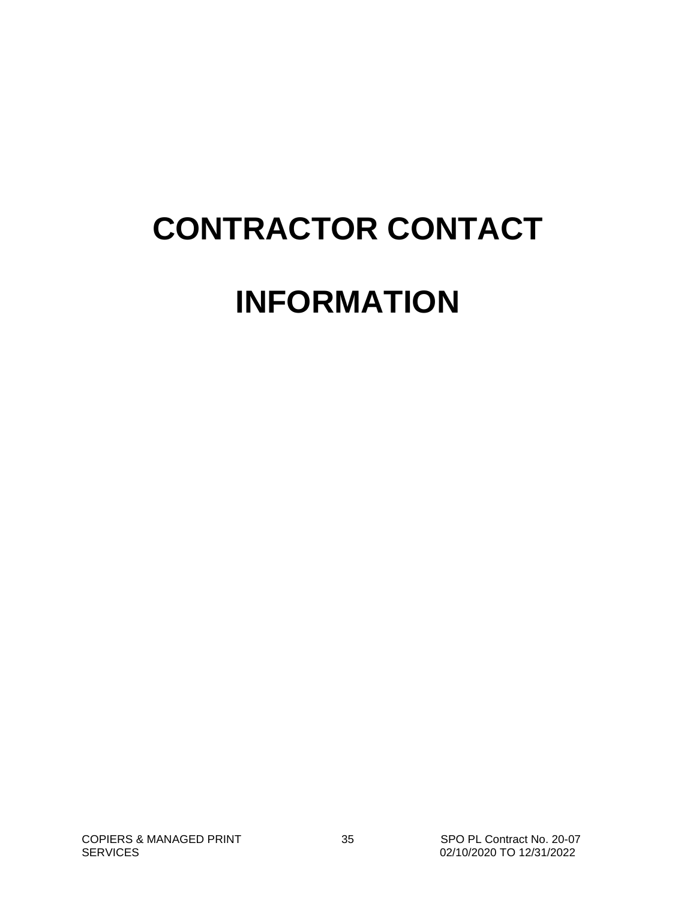# **CONTRACTOR CONTACT INFORMATION**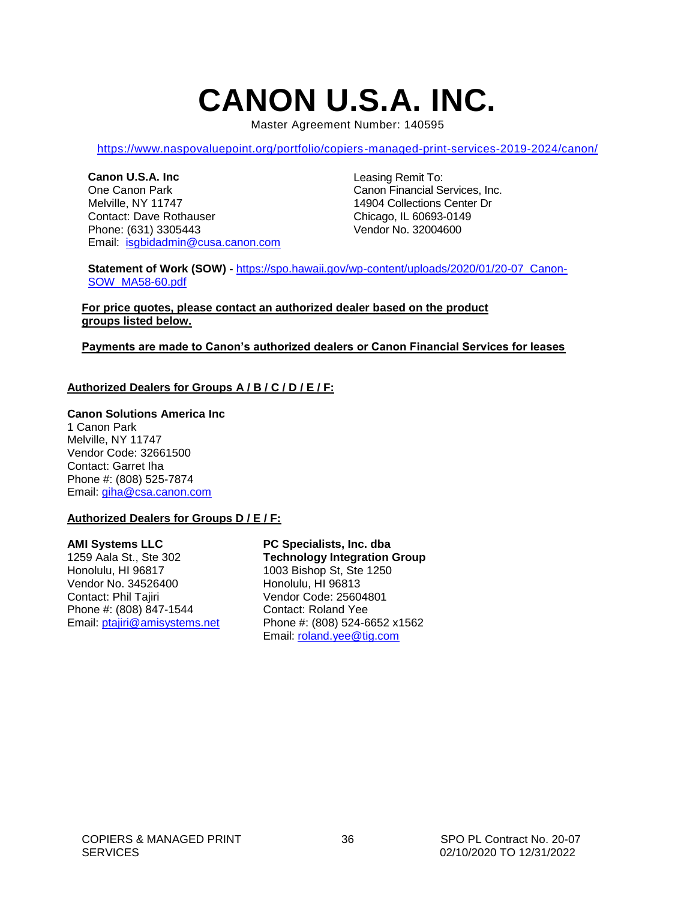# **CANON U.S.A. INC.**

Master Agreement Number: 140595

<span id="page-35-0"></span><https://www.naspovaluepoint.org/portfolio/copiers-managed-print-services-2019-2024/canon/>

**Canon U.S.A. Inc** One Canon Park Melville, NY 11747 Contact: Dave Rothauser Phone: (631) 3305443 Email: [isgbidadmin@cusa.canon.com](mailto:isgbidadmin@cusa.canon.com) Leasing Remit To: Canon Financial Services, Inc. 14904 Collections Center Dr Chicago, IL 60693-0149 Vendor No. 32004600

**Statement of Work (SOW) -** [https://spo.hawaii.gov/wp-content/uploads/2020/01/20-07\\_Canon-](https://spo.hawaii.gov/wp-content/uploads/2020/01/20-07_Canon-SOW_MA58-60.pdf)[SOW\\_MA58-60.pdf](https://spo.hawaii.gov/wp-content/uploads/2020/01/20-07_Canon-SOW_MA58-60.pdf)

**For price quotes, please contact an authorized dealer based on the product groups listed below.**

#### **Payments are made to Canon's authorized dealers or Canon Financial Services for leases**

#### **Authorized Dealers for Groups A / B / C / D / E / F:**

#### **Canon Solutions America Inc**

1 Canon Park Melville, NY 11747 Vendor Code: 32661500 Contact: Garret Iha Phone #: (808) 525-7874 Email: [giha@csa.canon.com](mailto:giha@csa.canon.com)

#### **Authorized Dealers for Groups D / E / F:**

#### **AMI Systems LLC**

1259 Aala St., Ste 302 Honolulu, HI 96817 Vendor No. 34526400 Contact: Phil Tajiri Phone #: (808) 847-1544 Email: [ptajiri@amisystems.net](mailto:ptajiri@amisystems.net)

**PC Specialists, Inc. dba Technology Integration Group** 1003 Bishop St, Ste 1250 Honolulu, HI 96813 Vendor Code: 25604801 Contact: Roland Yee Phone #: (808) 524-6652 x1562 Email: [roland.yee@tig.com](mailto:roland.yee@tig.com)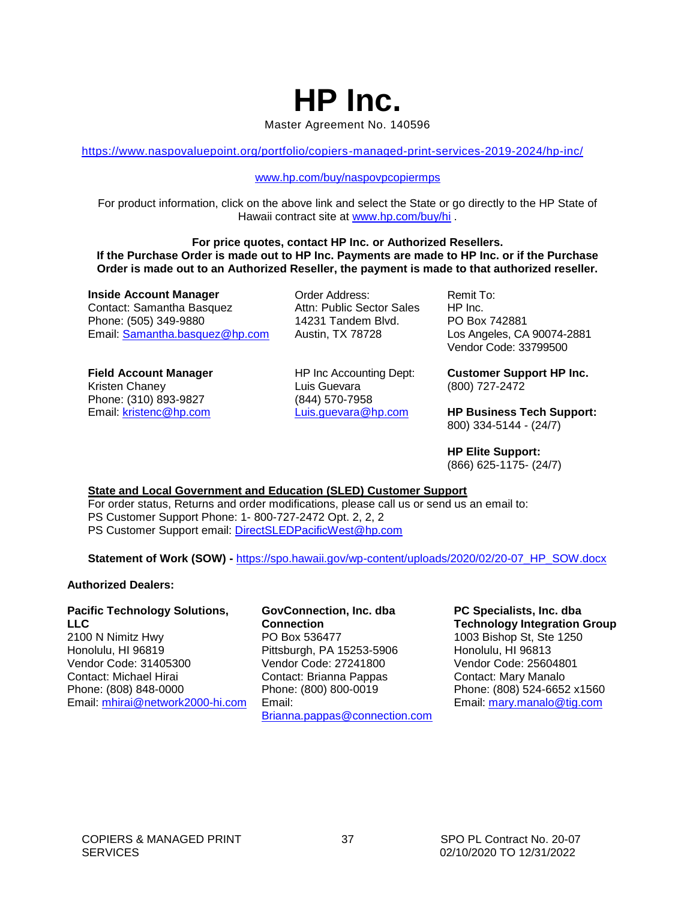### **HP Inc.** Master Agreement No. 140596

<https://www.naspovaluepoint.org/portfolio/copiers-managed-print-services-2019-2024/hp-inc/>

#### [www.hp.com/buy/naspovpcopiermps](http://www.hp.com/buy/naspovpcopiermps)

For product information, click on the above link and select the State or go directly to the HP State of Hawaii contract site at [www.hp.com/buy/hi](http://www.hp.com/buy/hi) .

**For price quotes, contact HP Inc. or Authorized Resellers. If the Purchase Order is made out to HP Inc. Payments are made to HP Inc. or if the Purchase Order is made out to an Authorized Reseller, the payment is made to that authorized reseller.**

**Inside Account Manager** Contact: Samantha Basquez Phone: (505) 349-9880 Email: [Samantha.basquez@hp.com](mailto:Samantha.basquez@hp.com) Order Address: Attn: Public Sector Sales 14231 Tandem Blvd. Austin, TX 78728

**Field Account Manager** Kristen Chaney Phone: (310) 893-9827 Email: [kristenc@hp.com](mailto:kristenc@hp.com) HP Inc Accounting Dept: Luis Guevara (844) 570-7958 Luis.guevara@hp.com

Remit To: HP Inc. PO Box 742881 Los Angeles, CA 90074-2881 Vendor Code: 33799500

**Customer Support HP Inc.** (800) 727-2472

**HP Business Tech Support:** 800) 334-5144 - (24/7)

**HP Elite Support:**  (866) 625-1175- (24/7)

#### **State and Local Government and Education (SLED) Customer Support**

For order status, Returns and order modifications, please call us or send us an email to: PS Customer Support Phone: 1- 800-727-2472 Opt. 2, 2, 2 PS Customer Support email: [DirectSLEDPacificWest@hp.com](mailto:DirectSLEDPacificWest@hp.com)

**Statement of Work (SOW) -** [https://spo.hawaii.gov/wp-content/uploads/2020/02/20-07\\_HP\\_SOW.docx](https://spo.hawaii.gov/wp-content/uploads/2020/02/20-07_HP_SOW.docx) 

#### **Authorized Dealers:**

#### **Pacific Technology Solutions, LLC**

2100 N Nimitz Hwy Honolulu, HI 96819 Vendor Code: 31405300 Contact: Michael Hirai Phone: (808) 848-0000 Email: [mhirai@network2000-hi.com](mailto:mhirai@network2000-hi.com)

#### **GovConnection, Inc. dba Connection** PO Box 536477

Pittsburgh, PA 15253-5906 Vendor Code: 27241800 Contact: Brianna Pappas Phone: (800) 800-0019 Email: [Brianna.pappas@connection.com](mailto:Brianna.pappas@connection.com) **PC Specialists, Inc. dba Technology Integration Group**  1003 Bishop St, Ste 1250 Honolulu, HI 96813 Vendor Code: 25604801 Contact: Mary Manalo Phone: (808) 524-6652 x1560 Email: [mary.manalo@tig.com](mailto:mary.manalo@tig.com)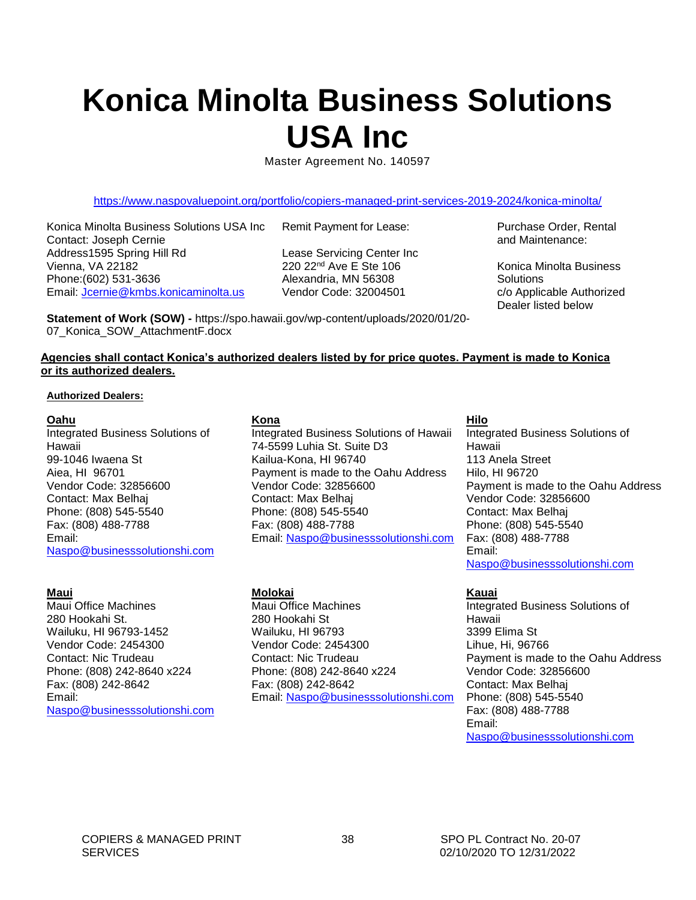# <span id="page-37-0"></span>**Konica Minolta Business Solutions USA Inc**

Master Agreement No. 140597

<https://www.naspovaluepoint.org/portfolio/copiers-managed-print-services-2019-2024/konica-minolta/>

Konica Minolta Business Solutions USA Inc Contact: Joseph Cernie Address1595 Spring Hill Rd Vienna, VA 22182 Phone:(602) 531-3636 Email: [Jcernie@kmbs.konicaminolta.us](mailto:Jcernie@kmbs.konicaminolta.us) 

Remit Payment for Lease:

Lease Servicing Center Inc 220 22nd Ave E Ste 106 Alexandria, MN 56308 Vendor Code: 32004501

**Statement of Work (SOW) -** https://spo.hawaii.gov/wp-content/uploads/2020/01/20- 07\_Konica\_SOW\_AttachmentF.docx

Purchase Order, Rental and Maintenance:

Konica Minolta Business **Solutions** c/o Applicable Authorized Dealer listed below

#### **Agencies shall contact Konica's authorized dealers listed by for price quotes. Payment is made to Konica or its authorized dealers.**

#### **Authorized Dealers:**

#### **Oahu**

Integrated Business Solutions of Hawaii 99-1046 Iwaena St Aiea, HI 96701 Vendor Code: 32856600 Contact: Max Belhaj Phone: (808) 545-5540 Fax: (808) 488-7788 Email: [Naspo@businesssolutionshi.com](mailto:Naspo@businesssolutionshi.com)

#### **Maui**

Maui Office Machines 280 Hookahi St. Wailuku, HI 96793-1452 Vendor Code: 2454300 Contact: Nic Trudeau Phone: (808) 242-8640 x224 Fax: (808) 242-8642 Email: [Naspo@businesssolutionshi.com](mailto:Naspo@businesssolutionshi.com)

#### **Kona**

Integrated Business Solutions of Hawaii 74-5599 Luhia St. Suite D3 Kailua-Kona, HI 96740 Payment is made to the Oahu Address Vendor Code: 32856600 Contact: Max Belhaj Phone: (808) 545-5540 Fax: (808) 488-7788 Email: [Naspo@businesssolutionshi.com](mailto:Naspo@businesssolutionshi.com)

#### **Molokai**

Maui Office Machines 280 Hookahi St Wailuku, HI 96793 Vendor Code: 2454300 Contact: Nic Trudeau Phone: (808) 242-8640 x224 Fax: (808) 242-8642 Email: [Naspo@businesssolutionshi.com](mailto:Naspo@businesssolutionshi.com)

#### **Hilo**

Integrated Business Solutions of Hawaii 113 Anela Street Hilo, HI 96720 Payment is made to the Oahu Address Vendor Code: 32856600 Contact: Max Belhaj Phone: (808) 545-5540 Fax: (808) 488-7788 Email: [Naspo@businesssolutionshi.com](mailto:Naspo@businesssolutionshi.com)

#### **Kauai**

Integrated Business Solutions of Hawaii 3399 Elima St Lihue, Hi, 96766 Payment is made to the Oahu Address Vendor Code: 32856600 Contact: Max Belhaj Phone: (808) 545-5540 Fax: (808) 488-7788 Email: [Naspo@businesssolutionshi.com](mailto:Naspo@businesssolutionshi.com)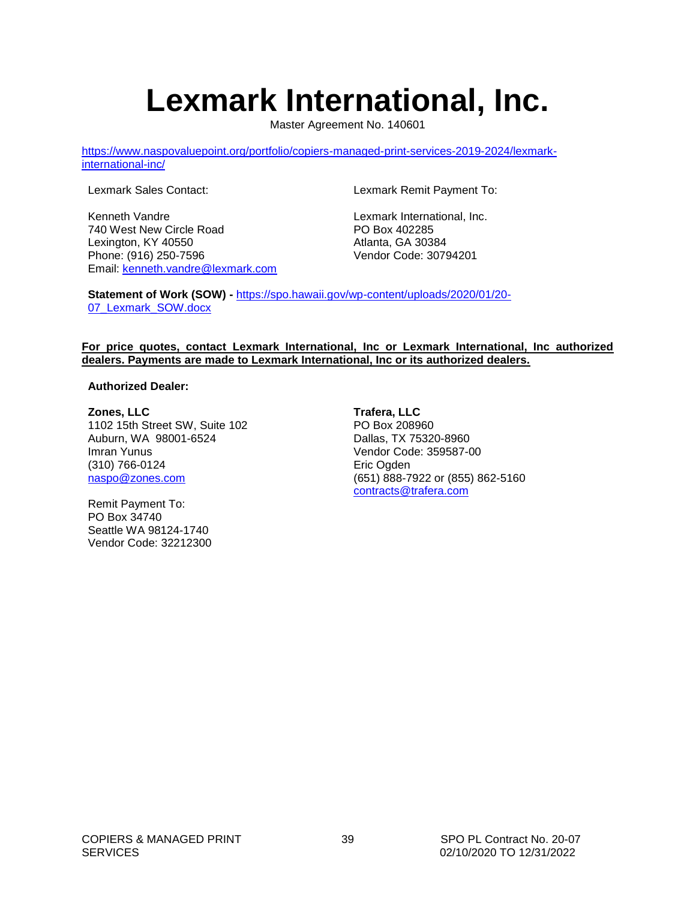# **Lexmark International, Inc.**

Master Agreement No. 140601

<span id="page-38-0"></span>[https://www.naspovaluepoint.org/portfolio/copiers-managed-print-services-2019-2024/lexmark](https://www.naspovaluepoint.org/portfolio/copiers-managed-print-services-2019-2024/lexmark-international-inc/)[international-inc/](https://www.naspovaluepoint.org/portfolio/copiers-managed-print-services-2019-2024/lexmark-international-inc/)

Lexmark Sales Contact:

Kenneth Vandre 740 West New Circle Road Lexington, KY 40550 Phone: (916) 250-7596 Email: [kenneth.vandre@lexmark.com](mailto:kenneth.vandre@lexmark.com) Lexmark Remit Payment To:

Lexmark International, Inc. PO Box 402285 Atlanta, GA 30384 Vendor Code: 30794201

**Statement of Work (SOW) -** [https://spo.hawaii.gov/wp-content/uploads/2020/01/20-](https://spo.hawaii.gov/wp-content/uploads/2020/01/20-07_Lexmark_SOW.docx) [07\\_Lexmark\\_SOW.docx](https://spo.hawaii.gov/wp-content/uploads/2020/01/20-07_Lexmark_SOW.docx)

#### **For price quotes, contact Lexmark International, Inc or Lexmark International, Inc authorized dealers. Payments are made to Lexmark International, Inc or its authorized dealers.**

#### **Authorized Dealer:**

**Zones, LLC** 1102 15th Street SW, Suite 102 Auburn, WA 98001-6524 Imran Yunus (310) 766-0124 [naspo@zones.com](mailto:imran.yunus@zones.com)

Remit Payment To: PO Box 34740 Seattle WA 98124-1740 Vendor Code: 32212300 **Trafera, LLC** PO Box 208960 Dallas, TX 75320-8960 Vendor Code: 359587-00 Eric Ogden (651) 888-7922 or (855) 862-5160 [contracts@trafera.com](mailto:contracts@trafera.com)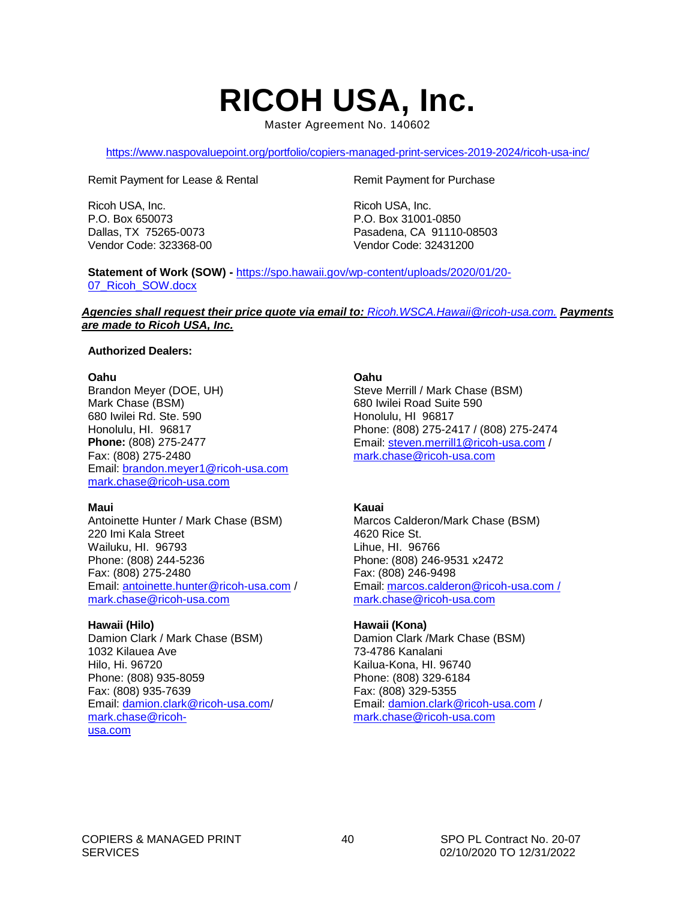## **RICOH USA, Inc.**

Master Agreement No. 140602

<span id="page-39-0"></span><https://www.naspovaluepoint.org/portfolio/copiers-managed-print-services-2019-2024/ricoh-usa-inc/>

Remit Payment for Lease & Rental

Ricoh USA, Inc. P.O. Box 650073 Dallas, TX 75265-0073 Vendor Code: 323368-00 Remit Payment for Purchase

Ricoh USA, Inc. P.O. Box 31001-0850 Pasadena, CA 91110-08503 Vendor Code: 32431200

**Statement of Work (SOW) -** [https://spo.hawaii.gov/wp-content/uploads/2020/01/20-](https://spo.hawaii.gov/wp-content/uploads/2020/01/20-07_Ricoh_SOW.docx) 07 Ricoh SOW.docx

*Agencies shall request their price quote via email to: [Ricoh.WSCA.Hawaii@ricoh-usa.com.](mailto:Ricoh.WSCA.Hawaii@ricoh-usa.com) Payments are made to Ricoh USA, Inc.*

#### **Authorized Dealers:**

#### **Oahu**

Brandon Meyer (DOE, UH) Mark Chase (BSM) 680 Iwilei Rd. Ste. 590 Honolulu, HI. 96817 **Phone:** (808) 275-2477 Fax: (808) 275-2480 Email: [brandon.meyer1@ricoh-usa.com](mailto:brandon.meyer1@ricoh-usa.com) [mark.chase@ricoh-usa.com](mailto:mark.chase@ricoh-usa.com)

#### **Maui**

Antoinette Hunter / Mark Chase (BSM) 220 Imi Kala Street Wailuku, HI. 96793 Phone: (808) 244-5236 Fax: (808) 275-2480 Email: [antoinette.hunter@ricoh-usa.com](mailto:antoinette.hunter@ricoh-usa.com) / [mark.chase@ricoh-usa.com](mailto:mark.chase@ricoh-usa.com)

#### **Hawaii (Hilo)**

Damion Clark / Mark Chase (BSM) 1032 Kilauea Ave Hilo, Hi. 96720 Phone: (808) 935-8059 Fax: (808) 935-7639 Email: [damion.clark@ricoh-usa.com/](mailto:damion.clark@ricoh-usa.com) [mark.chase@ricoh](mailto:mark.chase@ricoh-usa.com)[usa.com](mailto:mark.chase@ricoh-usa.com)

#### **Oahu**

Steve Merrill / Mark Chase (BSM) 680 Iwilei Road Suite 590 Honolulu, HI 96817 Phone: (808) 275-2417 / (808) 275-2474 Email: [steven.merrill1@ricoh-usa.com](mailto:steven.merrill1@ricoh-usa.com) / [mark.chase@ricoh-usa.com](mailto:mark.chase@ricoh-usa.com)

#### **Kauai**

Marcos Calderon/Mark Chase (BSM) 4620 Rice St. Lihue, HI. 96766 Phone: (808) 246-9531 x2472 Fax: (808) 246-9498 Email[: marcos.calderon@ricoh-usa.com](mailto:marcos.calderon@ricoh-usa.com) / [mark.chase@ricoh-usa.com](mailto:mark.chase@ricoh-usa.com)

#### **Hawaii (Kona)**

Damion Clark /Mark Chase (BSM) 73-4786 Kanalani Kailua-Kona, HI. 96740 Phone: (808) 329-6184 Fax: (808) 329-5355 Email: [damion.clark@ricoh-usa.com](mailto:damion.clark@ricoh-usa.com) / [mark.chase@ricoh-usa.com](mailto:mark.chase@ricoh-usa.com)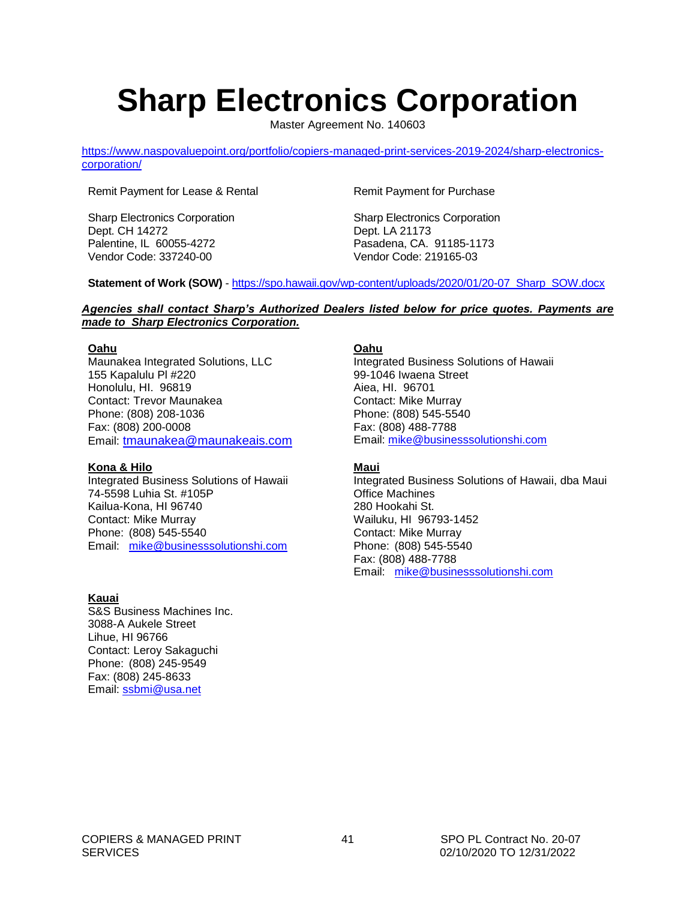# <span id="page-40-0"></span>**Sharp Electronics Corporation**

Master Agreement No. 140603

[https://www.naspovaluepoint.org/portfolio/copiers-managed-print-services-2019-2024/sharp-electronics](https://www.naspovaluepoint.org/portfolio/copiers-managed-print-services-2019-2024/sharp-electronics-corporation/)[corporation/](https://www.naspovaluepoint.org/portfolio/copiers-managed-print-services-2019-2024/sharp-electronics-corporation/)

Remit Payment for Lease & Rental

Sharp Electronics Corporation Dept. CH 14272 Palentine, IL 60055-4272 Vendor Code: 337240-00

Remit Payment for Purchase

Sharp Electronics Corporation Dept. LA 21173 Pasadena, CA. 91185-1173 Vendor Code: 219165-03

**Statement of Work (SOW)** - [https://spo.hawaii.gov/wp-content/uploads/2020/01/20-07\\_Sharp\\_SOW.docx](https://spo.hawaii.gov/wp-content/uploads/2020/01/20-07_Sharp_SOW.docx)

#### *Agencies shall contact Sharp's Authorized Dealers listed below for price quotes. Payments are made to Sharp Electronics Corporation.*

#### **Oahu**

Maunakea Integrated Solutions, LLC 155 Kapalulu Pl #220 Honolulu, HI. 96819 Contact: Trevor Maunakea Phone: (808) 208-1036 Fax: (808) 200-0008 Email: [tmaunakea@maunakeais.com](mailto:tmaunakea@maunakeais.com)

#### **Kona & Hilo**

Integrated Business Solutions of Hawaii 74-5598 Luhia St. #105P Kailua-Kona, HI 96740 Contact: Mike Murray Phone: (808) 545-5540 Email: [mike@businesssolutionshi.com](mailto:mike@businesssolutionshi.com)

#### **Kauai**

S&S Business Machines Inc. 3088-A Aukele Street Lihue, HI 96766 Contact: Leroy Sakaguchi Phone: (808) 245-9549 Fax: (808) 245-8633 Email: [ssbmi@usa.net](mailto:ssbmi@usa.net)

#### **Oahu**

Integrated Business Solutions of Hawaii 99-1046 Iwaena Street Aiea, HI. 96701 Contact: Mike Murray Phone: (808) 545-5540 Fax: (808) 488-7788 Email: [mike@businesssolutionshi.com](mailto:mike@businesssolutionshi.com)

#### **Maui**

Integrated Business Solutions of Hawaii, dba Maui Office Machines 280 Hookahi St. Wailuku, HI 96793-1452 Contact: Mike Murray Phone: (808) 545-5540 Fax: (808) 488-7788 Email: [mike@businesssolutionshi.com](mailto:mike@businesssolutionshi.com)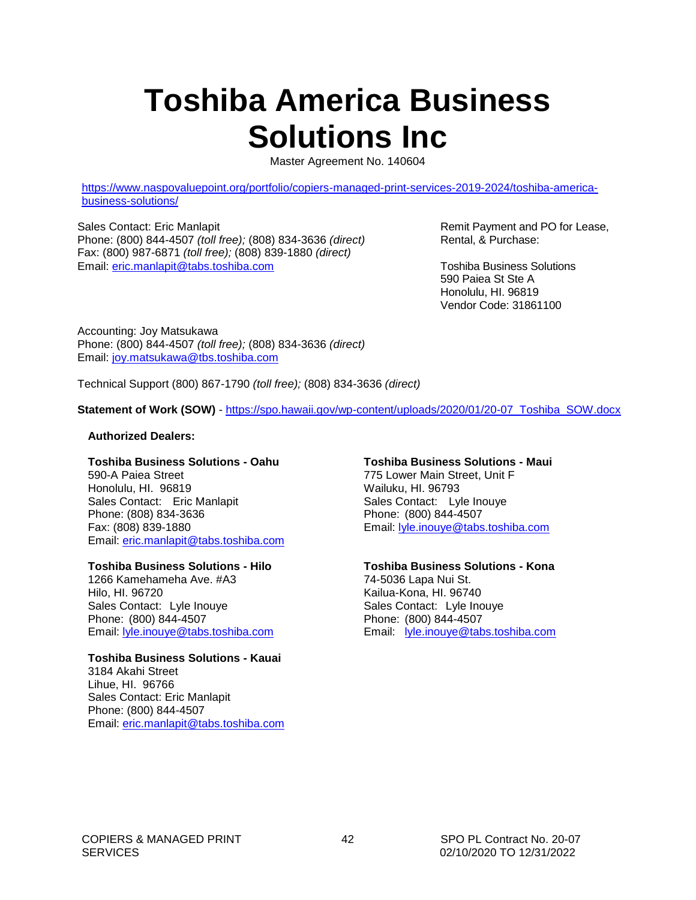# <span id="page-41-0"></span>**Toshiba America Business Solutions Inc**

Master Agreement No. 140604

[https://www.naspovaluepoint.org/portfolio/copiers-managed-print-services-2019-2024/toshiba-america](https://www.naspovaluepoint.org/portfolio/copiers-managed-print-services-2019-2024/toshiba-america-business-solutions/)[business-solutions/](https://www.naspovaluepoint.org/portfolio/copiers-managed-print-services-2019-2024/toshiba-america-business-solutions/)

Sales Contact: Eric Manlapit Phone: (800) 844-4507 *(toll free);* (808) 834-3636 *(direct)* Fax: (800) 987-6871 *(toll free);* (808) 839-1880 *(direct)* Email: [eric.manlapit@tabs.toshiba.com](mailto:eric.manlapit@tabs.toshiba.com)

Remit Payment and PO for Lease, Rental, & Purchase:

Toshiba Business Solutions 590 Paiea St Ste A Honolulu, HI. 96819 Vendor Code: 31861100

Accounting: Joy Matsukawa Phone: (800) 844-4507 *(toll free);* (808) 834-3636 *(direct)* Email: [joy.matsukawa@tbs.toshiba.com](mailto:joy.matsukawa@tbs.toshiba.com)

Technical Support (800) 867-1790 *(toll free);* (808) 834-3636 *(direct)*

**Statement of Work (SOW)** - [https://spo.hawaii.gov/wp-content/uploads/2020/01/20-07\\_Toshiba\\_SOW.docx](https://spo.hawaii.gov/wp-content/uploads/2020/01/20-07_Toshiba_SOW.docx)

#### **Authorized Dealers:**

#### **Toshiba Business Solutions - Oahu**

590-A Paiea Street Honolulu, HI. 96819 Sales Contact: Eric Manlapit Phone: (808) 834-3636 Fax: (808) 839-1880 Email: [eric.manlapit@tabs.toshiba.com](mailto:eric.manlapit@tabs.toshiba.com)

#### **Toshiba Business Solutions - Hilo**

1266 Kamehameha Ave. #A3 Hilo, HI. 96720 Sales Contact: Lyle Inouye Phone: (800) 844-4507 Email: [lyle.inouye@tabs.toshiba.com](mailto:lyle.inouye@tabs.toshiba.com)

#### **Toshiba Business Solutions - Kauai** 3184 Akahi Street

Lihue, HI. 96766 Sales Contact: Eric Manlapit Phone: (800) 844-4507 Email: [eric.manlapit@tabs.toshiba.com](mailto:eric.manlapit@tabs.toshiba.com)

#### **Toshiba Business Solutions - Maui**

775 Lower Main Street, Unit F Wailuku, HI. 96793 Sales Contact: Lyle Inouye Phone: (800) 844-4507 Email: [lyle.inouye@tabs.toshiba.com](mailto:lyle.inouye@tabs.toshiba.com)

#### **Toshiba Business Solutions - Kona**

74-5036 Lapa Nui St. Kailua-Kona, HI. 96740 Sales Contact: Lyle Inouye Phone: (800) 844-4507 Email: [lyle.inouye@tabs.toshiba.com](mailto:lyle.inouye@tabs.toshiba.com)